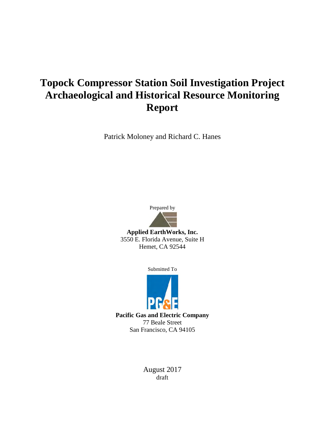# **Topock Compressor Station Soil Investigation Project Archaeological and Historical Resource Monitoring Report**

Patrick Moloney and Richard C. Hanes



**Applied EarthWorks, Inc.** 3550 E. Florida Avenue, Suite H Hemet, CA 92544

Submitted To



**Pacific Gas and Electric Company** 77 Beale Street San Francisco, CA 94105

> August 2017 draft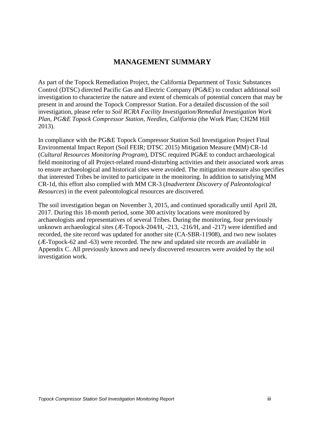# **MANAGEMENT SUMMARY**

As part of the Topock Remediation Project, the California Department of Toxic Substances Control (DTSC) directed Pacific Gas and Electric Company (PG&E) to conduct additional soil investigation to characterize the nature and extent of chemicals of potential concern that may be present in and around the Topock Compressor Station. For a detailed discussion of the soil investigation, please refer to *Soil RCRA Facility Investigation/Remedial Investigation Work Plan, PG&E Topock Compressor Station, Needles, California* (the Work Plan; CH2M Hill 2013).

In compliance with the PG&E Topock Compressor Station Soil Investigation Project Final Environmental Impact Report (Soil FEIR; DTSC 2015) Mitigation Measure (MM) CR-1d (*Cultural Resources Monitoring Program*), DTSC required PG&E to conduct archaeological field monitoring of all Project-related round-disturbing activities and their associated work areas to ensure archaeological and historical sites were avoided. The mitigation measure also specifies that interested Tribes be invited to participate in the monitoring. In addition to satisfying MM CR-1d, this effort also complied with MM CR-3 (*Inadvertent Discovery of Paleontological Resources*) in the event paleontological resources are discovered.

The soil investigation began on November 3, 2015, and continued sporadically until April 28, 2017. During this 18-month period, some 300 activity locations were monitored by archaeologists and representatives of several Tribes. During the monitoring, four previously unknown archaeological sites (Æ-Topock-204/H, -213, -216/H, and -217) were identified and recorded, the site record was updated for another site (CA-SBR-11908), and two new isolates (Æ-Topock-62 and -63) were recorded. The new and updated site records are available in Appendix C. All previously known and newly discovered resources were avoided by the soil investigation work.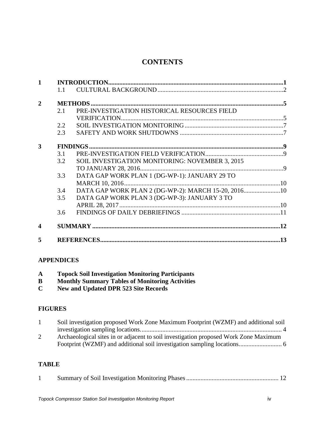# **CONTENTS**

| $\mathbf{1}$   |               |                                                     |  |
|----------------|---------------|-----------------------------------------------------|--|
|                | $1\;1$        |                                                     |  |
| $\overline{2}$ |               |                                                     |  |
|                | 2.1           | PRE-INVESTIGATION HISTORICAL RESOURCES FIELD        |  |
|                |               |                                                     |  |
|                | $2.2^{\circ}$ |                                                     |  |
|                | 2.3           |                                                     |  |
| 3              |               |                                                     |  |
|                | 3.1           |                                                     |  |
|                | 3.2           | SOIL INVESTIGATION MONITORING: NOVEMBER 3, 2015     |  |
|                |               |                                                     |  |
|                | 3.3           | DATA GAP WORK PLAN 1 (DG-WP-1): JANUARY 29 TO       |  |
|                |               |                                                     |  |
|                | 3.4           | DATA GAP WORK PLAN 2 (DG-WP-2): MARCH 15-20, 201610 |  |
|                | 3.5           | DATA GAP WORK PLAN 3 (DG-WP-3): JANUARY 3 TO        |  |
|                |               |                                                     |  |
|                | 3.6           |                                                     |  |
| 4              |               |                                                     |  |
| 5              |               |                                                     |  |

#### **APPENDICES**

| A |  | <b>Topock Soil Investigation Monitoring Participants</b> |  |  |
|---|--|----------------------------------------------------------|--|--|
|---|--|----------------------------------------------------------|--|--|

- **B Monthly Summary Tables of Monitoring Activities**
- **C New and Updated DPR 523 Site Records**

#### **FIGURES**

| Soil investigation proposed Work Zone Maximum Footprint (WZMF) and additional soil   |  |
|--------------------------------------------------------------------------------------|--|
|                                                                                      |  |
| Archaeological sites in or adjacent to soil investigation proposed Work Zone Maximum |  |
|                                                                                      |  |

#### **TABLE**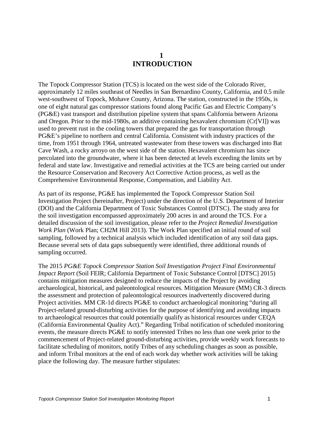# **1 INTRODUCTION**

<span id="page-4-0"></span>The Topock Compressor Station (TCS) is located on the west side of the Colorado River, approximately 12 miles southeast of Needles in San Bernardino County, California, and 0.5 mile west-southwest of Topock, Mohave County, Arizona. The station, constructed in the 1950s, is one of eight natural gas compressor stations found along Pacific Gas and Electric Company's (PG&E) vast transport and distribution pipeline system that spans California between Arizona and Oregon. Prior to the mid-1980s, an additive containing hexavalent chromium (Cr[VI]) was used to prevent rust in the cooling towers that prepared the gas for transportation through PG&E's pipeline to northern and central California. Consistent with industry practices of the time, from 1951 through 1964, untreated wastewater from these towers was discharged into Bat Cave Wash, a rocky arroyo on the west side of the station. Hexavalent chromium has since percolated into the groundwater, where it has been detected at levels exceeding the limits set by federal and state law. Investigative and remedial activities at the TCS are being carried out under the Resource Conservation and Recovery Act Corrective Action process, as well as the Comprehensive Environmental Response, Compensation, and Liability Act.

As part of its response, PG&E has implemented the Topock Compressor Station Soil Investigation Project (hereinafter, Project) under the direction of the U.S. Department of Interior (DOI) and the California Department of Toxic Substances Control (DTSC). The study area for the soil investigation encompassed approximately 200 acres in and around the TCS. For a detailed discussion of the soil investigation, please refer to the *Project Remedial Investigation Work Plan* (Work Plan; CH2M Hill 2013). The Work Plan specified an initial round of soil sampling, followed by a technical analysis which included identification of any soil data gaps. Because several sets of data gaps subsequently were identified, three additional rounds of sampling occurred.

The 2015 *PG&E Topock Compressor Station Soil Investigation Project Final Environmental Impact Report* (Soil FEIR; California Department of Toxic Substance Control [DTSC] 2015) contains mitigation measures designed to reduce the impacts of the Project by avoiding archaeological, historical, and paleontological resources. Mitigation Measure (MM) CR-3 directs the assessment and protection of paleontological resources inadvertently discovered during Project activities. MM CR-1d directs PG&E to conduct archaeological monitoring "during all Project-related ground-disturbing activities for the purpose of identifying and avoiding impacts to archaeological resources that could potentially qualify as historical resources under CEQA (California Environmental Quality Act)." Regarding Tribal notification of scheduled monitoring events, the measure directs PG&E to notify interested Tribes no less than one week prior to the commencement of Project-related ground-disturbing activities, provide weekly work forecasts to facilitate scheduling of monitors, notify Tribes of any scheduling changes as soon as possible, and inform Tribal monitors at the end of each work day whether work activities will be taking place the following day. The measure further stipulates: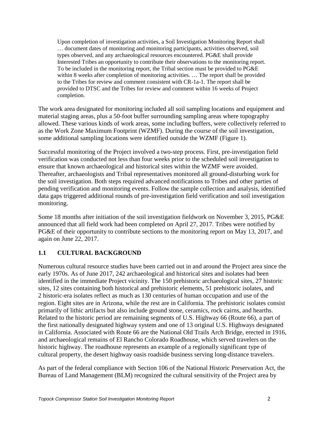Upon completion of investigation activities, a Soil Investigation Monitoring Report shall … document dates of monitoring and monitoring participants, activities observed, soil types observed, and any archaeological resources encountered. PG&E shall provide Interested Tribes an opportunity to contribute their observations to the monitoring report. To be included in the monitoring report, the Tribal section must be provided to PG&E within 8 weeks after completion of monitoring activities. … The report shall be provided to the Tribes for review and comment consistent with CR-1a-1. The report shall be provided to DTSC and the Tribes for review and comment within 16 weeks of Project completion.

The work area designated for monitoring included all soil sampling locations and equipment and material staging areas, plus a 50-foot buffer surrounding sampling areas where topography allowed. These various kinds of work areas, some including buffers, were collectively referred to as the Work Zone Maximum Footprint (WZMF). During the course of the soil investigation, some additional sampling locations were identified outside the WZMF (Figure 1).

Successful monitoring of the Project involved a two-step process. First, pre-investigation field verification was conducted not less than four weeks prior to the scheduled soil investigation to ensure that known archaeological and historical sites within the WZMF were avoided. Thereafter, archaeologists and Tribal representatives monitored all ground-disturbing work for the soil investigation. Both steps required advanced notifications to Tribes and other parties of pending verification and monitoring events. Follow the sample collection and analysis, identified data gaps triggered additional rounds of pre-investigation field verification and soil investigation monitoring.

Some 18 months after initiation of the soil investigation fieldwork on November 3, 2015, PG&E announced that all field work had been completed on April 27, 2017. Tribes were notified by PG&E of their opportunity to contribute sections to the monitoring report on May 13, 2017, and again on June 22, 2017.

## <span id="page-5-0"></span>**1.1 CULTURAL BACKGROUND**

Numerous cultural resource studies have been carried out in and around the Project area since the early 1970s. As of June 2017, 242 archaeological and historical sites and isolates had been identified in the immediate Project vicinity. The 150 prehistoric archaeological sites, 27 historic sites, 12 sites containing both historical and prehistoric elements, 51 prehistoric isolates, and 2 historic-era isolates reflect as much as 130 centuries of human occupation and use of the region. Eight sites are in Arizona, while the rest are in California. The prehistoric isolates consist primarily of lithic artifacts but also include ground stone, ceramics, rock cairns, and hearths. Related to the historic period are remaining segments of U.S. Highway 66 (Route 66), a part of the first nationally designated highway system and one of 13 original U.S. Highways designated in California. Associated with Route 66 are the National Old Trails Arch Bridge, erected in 1916, and archaeological remains of El Rancho Colorado Roadhouse, which served travelers on the historic highway. The roadhouse represents an example of a regionally significant type of cultural property, the desert highway oasis roadside business serving long-distance travelers.

As part of the federal compliance with Section 106 of the National Historic Preservation Act, the Bureau of Land Management (BLM) recognized the cultural sensitivity of the Project area by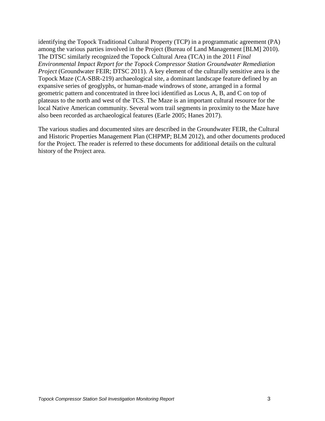identifying the Topock Traditional Cultural Property (TCP) in a programmatic agreement (PA) among the various parties involved in the Project (Bureau of Land Management [BLM] 2010). The DTSC similarly recognized the Topock Cultural Area (TCA) in the 2011 *Final Environmental Impact Report for the Topock Compressor Station Groundwater Remediation Project* (Groundwater FEIR; DTSC 2011). A key element of the culturally sensitive area is the Topock Maze (CA-SBR-219) archaeological site, a dominant landscape feature defined by an expansive series of geoglyphs, or human-made windrows of stone, arranged in a formal geometric pattern and concentrated in three loci identified as Locus A, B, and C on top of plateaus to the north and west of the TCS. The Maze is an important cultural resource for the local Native American community. Several worn trail segments in proximity to the Maze have also been recorded as archaeological features (Earle 2005; Hanes 2017).

The various studies and documented sites are described in the Groundwater FEIR, the Cultural and Historic Properties Management Plan (CHPMP; BLM 2012), and other documents produced for the Project. The reader is referred to these documents for additional details on the cultural history of the Project area.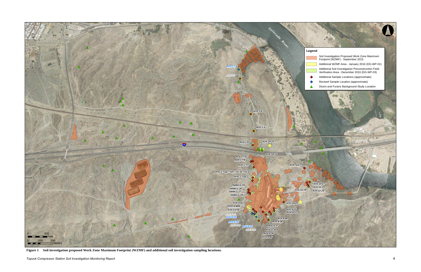

 **Figure 1 Soil investigation proposed Work Zone Maximum Footprint (WZMF) and additional soil investigation sampling locations.**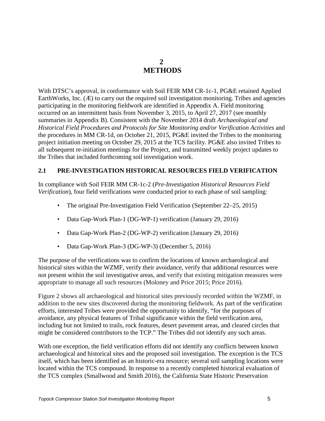# **2 METHODS**

<span id="page-8-0"></span>With DTSC's approval, in conformance with Soil FEIR MM CR-1c-1, PG&E retained Applied EarthWorks, Inc.  $(E)$  to carry out the required soil investigation monitoring. Tribes and agencies participating in the monitoring fieldwork are identified in Appendix A. Field monitoring occurred on an intermittent basis from November 3, 2015, to April 27, 2017 (see monthly summaries in Appendix B). Consistent with the November 2014 draft *Archaeological and Historical Field Procedures and Protocols for Site Monitoring and/or Verification Activities* and the procedures in MM CR-1d, on October 21, 2015, PG&E invited the Tribes to the monitoring project initiation meeting on October 29, 2015 at the TCS facility. PG&E also invited Tribes to all subsequent re-initiation meetings for the Project, and transmitted weekly project updates to the Tribes that included forthcoming soil investigation work.

#### <span id="page-8-1"></span>**2.1 PRE-INVESTIGATION HISTORICAL RESOURCES FIELD VERIFICATION**

In compliance with Soil FEIR MM CR-1c-2 (*Pre-Investigation Historical Resources Field Verification*), four field verifications were conducted prior to each phase of soil sampling:

- The original Pre-Investigation Field Verification (September 22–25, 2015)
- Data Gap-Work Plan-1 (DG-WP-1) verification (January 29, 2016)
- Data Gap-Work Plan-2 (DG-WP-2) verification (January 29, 2016)
- Data Gap-Work Plan-3 (DG-WP-3) (December 5, 2016)

The purpose of the verifications was to confirm the locations of known archaeological and historical sites within the WZMF, verify their avoidance, verify that additional resources were not present within the soil investigative areas, and verify that existing mitigation measures were appropriate to manage all such resources (Moloney and Price 2015; Price 2016).

Figure 2 shows all archaeological and historical sites previously recorded within the WZMF, in addition to the new sites discovered during the monitoring fieldwork. As part of the verification efforts, interested Tribes were provided the opportunity to identify, "for the purposes of avoidance, any physical features of Tribal significance within the field verification area, including but not limited to trails, rock features, desert pavement areas, and cleared circles that might be considered contributors to the TCP." The Tribes did not identify any such areas.

With one exception, the field verification efforts did not identify any conflicts between known archaeological and historical sites and the proposed soil investigation. The exception is the TCS itself, which has been identified as an historic-era resource; several soil sampling locations were located within the TCS compound. In response to a recently completed historical evaluation of the TCS complex (Smallwood and Smith 2016), the California State Historic Preservation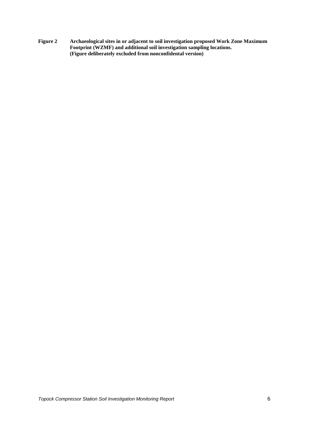<span id="page-9-0"></span>**Figure 2 Archaeological sites in or adjacent to soil investigation proposed Work Zone Maximum Footprint (WZMF) and additional soil investigation sampling locations. (Figure deliberately excluded from nonconfidental version)**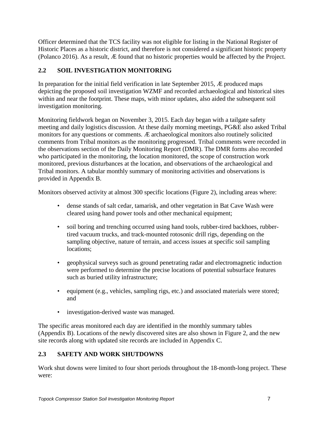Officer determined that the TCS facility was not eligible for listing in the National Register of Historic Places as a historic district, and therefore is not considered a significant historic property (Polanco 2016). As a result, Æ found that no historic properties would be affected by the Project.

# <span id="page-10-0"></span>**2.2 SOIL INVESTIGATION MONITORING**

In preparation for the initial field verification in late September 2015, Æ produced maps depicting the proposed soil investigation WZMF and recorded archaeological and historical sites within and near the footprint. These maps, with minor updates, also aided the subsequent soil investigation monitoring.

Monitoring fieldwork began on November 3, 2015. Each day began with a tailgate safety meeting and daily logistics discussion. At these daily morning meetings, PG&E also asked Tribal monitors for any questions or comments. Æ archaeological monitors also routinely solicited comments from Tribal monitors as the monitoring progressed. Tribal comments were recorded in the observations section of the Daily Monitoring Report (DMR). The DMR forms also recorded who participated in the monitoring, the location monitored, the scope of construction work monitored, previous disturbances at the location, and observations of the archaeological and Tribal monitors. A tabular monthly summary of monitoring activities and observations is provided in Appendix B.

Monitors observed activity at almost 300 specific locations (Figure 2), including areas where:

- dense stands of salt cedar, tamarisk, and other vegetation in Bat Cave Wash were cleared using hand power tools and other mechanical equipment;
- soil boring and trenching occurred using hand tools, rubber-tired backhoes, rubbertired vacuum trucks, and track-mounted rotosonic drill rigs, depending on the sampling objective, nature of terrain, and access issues at specific soil sampling locations;
- geophysical surveys such as ground penetrating radar and electromagnetic induction were performed to determine the precise locations of potential subsurface features such as buried utility infrastructure;
- equipment (e.g., vehicles, sampling rigs, etc.) and associated materials were stored; and
- investigation-derived waste was managed.

The specific areas monitored each day are identified in the monthly summary tables (Appendix B). Locations of the newly discovered sites are also shown in Figure 2, and the new site records along with updated site records are included in Appendix C.

## <span id="page-10-1"></span>**2.3 SAFETY AND WORK SHUTDOWNS**

Work shut downs were limited to four short periods throughout the 18-month-long project. These were: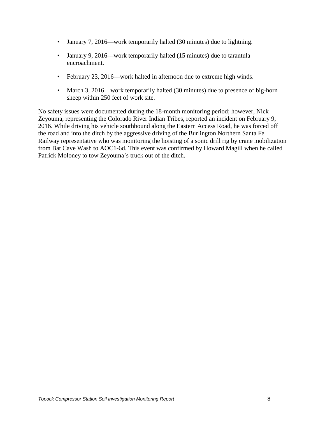- January 7, 2016—work temporarily halted (30 minutes) due to lightning.
- January 9, 2016—work temporarily halted (15 minutes) due to tarantula encroachment.
- February 23, 2016—work halted in afternoon due to extreme high winds.
- March 3, 2016—work temporarily halted (30 minutes) due to presence of big-horn sheep within 250 feet of work site.

No safety issues were documented during the 18-month monitoring period; however, Nick Zeyouma, representing the Colorado River Indian Tribes, reported an incident on February 9, 2016. While driving his vehicle southbound along the Eastern Access Road, he was forced off the road and into the ditch by the aggressive driving of the Burlington Northern Santa Fe Railway representative who was monitoring the hoisting of a sonic drill rig by crane mobilization from Bat Cave Wash to AOC1-6d. This event was confirmed by Howard Magill when he called Patrick Moloney to tow Zeyouma's truck out of the ditch.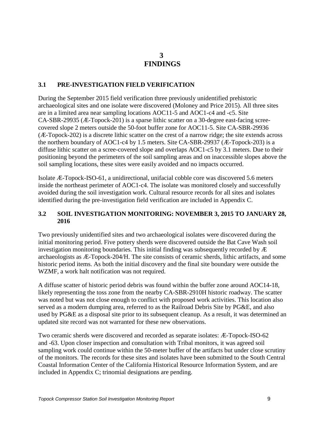## **3 FINDINGS**

#### <span id="page-12-1"></span><span id="page-12-0"></span>**3.1 PRE-INVESTIGATION FIELD VERIFICATION**

During the September 2015 field verification three previously unidentified prehistoric archaeological sites and one isolate were discovered (Moloney and Price 2015). All three sites are in a limited area near sampling locations AOC11-5 and AOC1-c4 and -c5. Site CA-SBR-29935 (Æ-Topock-201) is a sparse lithic scatter on a 30-degree east-facing screecovered slope 2 meters outside the 50-foot buffer zone for AOC11-5. Site CA-SBR-29936 (Æ-Topock-202) is a discrete lithic scatter on the crest of a narrow ridge; the site extends across the northern boundary of AOC1-c4 by 1.5 meters. Site CA-SBR-29937 (Æ-Topock-203) is a diffuse lithic scatter on a scree-covered slope and overlaps AOC1-c5 by 3.1 meters. Due to their positioning beyond the perimeters of the soil sampling areas and on inaccessible slopes above the soil sampling locations, these sites were easily avoided and no impacts occurred.

Isolate Æ-Topock-ISO-61, a unidirectional, unifacial cobble core was discovered 5.6 meters inside the northeast perimeter of AOC1-c4. The isolate was monitored closely and successfully avoided during the soil investigation work. Cultural resource records for all sites and isolates identified during the pre-investigation field verification are included in Appendix C.

#### <span id="page-12-2"></span>**3.2 SOIL INVESTIGATION MONITORING: NOVEMBER 3, 2015 TO JANUARY 28, 2016**

Two previously unidentified sites and two archaeological isolates were discovered during the initial monitoring period. Five pottery sherds were discovered outside the Bat Cave Wash soil investigation monitoring boundaries. This initial finding was subsequently recorded by Æ archaeologists as Æ-Topock-204/H. The site consists of ceramic sherds, lithic artifacts, and some historic period items. As both the initial discovery and the final site boundary were outside the WZMF, a work halt notification was not required.

A diffuse scatter of historic period debris was found within the buffer zone around AOC14-18, likely representing the toss zone from the nearby CA-SBR-2910H historic roadway. The scatter was noted but was not close enough to conflict with proposed work activities. This location also served as a modern dumping area, referred to as the Railroad Debris Site by PG&E, and also used by PG&E as a disposal site prior to its subsequent cleanup. As a result, it was determined an updated site record was not warranted for these new observations.

Two ceramic sherds were discovered and recorded as separate isolates: Æ-Topock-ISO-62 and -63. Upon closer inspection and consultation with Tribal monitors, it was agreed soil sampling work could continue within the 50-meter buffer of the artifacts but under close scrutiny of the monitors. The records for these sites and isolates have been submitted to the South Central Coastal Information Center of the California Historical Resource Information System, and are included in Appendix C; trinomial designations are pending.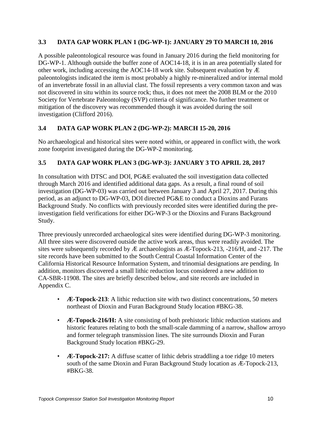#### <span id="page-13-0"></span>**3.3 DATA GAP WORK PLAN 1 (DG-WP-1): JANUARY 29 TO MARCH 10, 2016**

A possible paleontological resource was found in January 2016 during the field monitoring for DG-WP-1. Although outside the buffer zone of AOC14-18, it is in an area potentially slated for other work, including accessing the AOC14-18 work site. Subsequent evaluation by Æ paleontologists indicated the item is most probably a highly re-mineralized and/or internal mold of an invertebrate fossil in an alluvial clast. The fossil represents a very common taxon and was not discovered in situ within its source rock; thus, it does not meet the 2008 BLM or the 2010 Society for Vertebrate Paleontology (SVP) criteria of significance. No further treatment or mitigation of the discovery was recommended though it was avoided during the soil investigation (Clifford 2016).

## <span id="page-13-1"></span>**3.4 DATA GAP WORK PLAN 2 (DG-WP-2): MARCH 15-20, 2016**

No archaeological and historical sites were noted within, or appeared in conflict with, the work zone footprint investigated during the DG-WP-2 monitoring.

## <span id="page-13-2"></span>**3.5 DATA GAP WORK PLAN 3 (DG-WP-3): JANUARY 3 TO APRIL 28, 2017**

In consultation with DTSC and DOI, PG&E evaluated the soil investigation data collected through March 2016 and identified additional data gaps. As a result, a final round of soil investigation (DG-WP-03) was carried out between January 3 and April 27, 2017. During this period, as an adjunct to DG-WP-03, DOI directed PG&E to conduct a Dioxins and Furans Background Study. No conflicts with previously recorded sites were identified during the preinvestigation field verifications for either DG-WP-3 or the Dioxins and Furans Background Study.

Three previously unrecorded archaeological sites were identified during DG-WP-3 monitoring. All three sites were discovered outside the active work areas, thus were readily avoided. The sites were subsequently recorded by Æ archaeologists as Æ-Topock-213, -216/H, and -217. The site records have been submitted to the South Central Coastal Information Center of the California Historical Resource Information System, and trinomial designations are pending. In addition, monitors discovered a small lithic reduction locus considered a new addition to CA-SBR-11908. The sites are briefly described below, and site records are included in Appendix C.

- **Æ-Topock-213**: A lithic reduction site with two distinct concentrations, 50 meters northeast of Dioxin and Furan Background Study location #BKG-38.
- **Æ-Topock-216/H:** A site consisting of both prehistoric lithic reduction stations and historic features relating to both the small-scale damming of a narrow, shallow arroyo and former telegraph transmission lines. The site surrounds Dioxin and Furan Background Study location #BKG-29.
- **Æ-Topock-217:** A diffuse scatter of lithic debris straddling a toe ridge 10 meters south of the same Dioxin and Furan Background Study location as Æ-Topock-213, #BKG-38.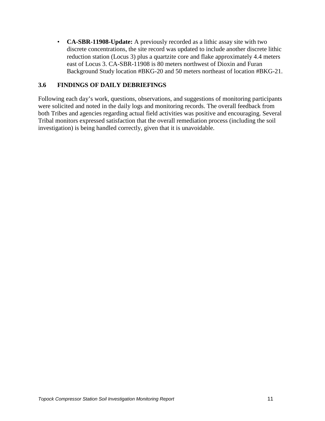• **CA-SBR-11908-Update:** A previously recorded as a lithic assay site with two discrete concentrations, the site record was updated to include another discrete lithic reduction station (Locus 3) plus a quartzite core and flake approximately 4.4 meters east of Locus 3. CA-SBR-11908 is 80 meters northwest of Dioxin and Furan Background Study location #BKG-20 and 50 meters northeast of location #BKG-21.

#### <span id="page-14-0"></span>**3.6 FINDINGS OF DAILY DEBRIEFINGS**

Following each day's work, questions, observations, and suggestions of monitoring participants were solicited and noted in the daily logs and monitoring records. The overall feedback from both Tribes and agencies regarding actual field activities was positive and encouraging. Several Tribal monitors expressed satisfaction that the overall remediation process (including the soil investigation) is being handled correctly, given that it is unavoidable.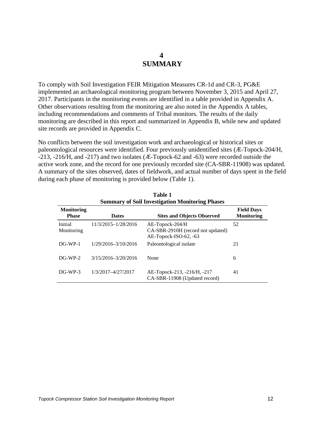## **4 SUMMARY**

<span id="page-15-0"></span>To comply with Soil Investigation FEIR Mitigation Measures CR-1d and CR-3, PG&E implemented an archaeological monitoring program between November 3, 2015 and April 27, 2017. Participants in the monitoring events are identified in a table provided in Appendix A. Other observations resulting from the monitoring are also noted in the Appendix A tables, including recommendations and comments of Tribal monitors. The results of the daily monitoring are described in this report and summarized in Appendix B, while new and updated site records are provided in Appendix C.

No conflicts between the soil investigation work and archaeological or historical sites or paleontological resources were identified. Four previously unidentified sites (Æ-Topock-204/H, -213, -216/H, and -217) and two isolates (Æ-Topock-62 and -63) were recorded outside the active work zone, and the record for one previously recorded site (CA-SBR-11908) was updated. A summary of the sites observed, dates of fieldwork, and actual number of days spent in the field during each phase of monitoring is provided below (Table 1).

**Table 1** 

<span id="page-15-1"></span>

|                                   |                     | <b>Summary of Soil Investigation Monitoring Phases</b>                           |                                        |
|-----------------------------------|---------------------|----------------------------------------------------------------------------------|----------------------------------------|
| <b>Monitoring</b><br><b>Phase</b> | <b>Dates</b>        | <b>Sites and Objects Observed</b>                                                | <b>Field Days</b><br><b>Monitoring</b> |
| Initial<br>Monitoring             | 11/3/2015-1/28/2016 | $AE$ -Topock-204/H<br>CA-SBR-2910H (record not updated)<br>AE-Topock-ISO-62, -63 | 52                                     |
| $DG-WP-1$                         | 1/29/2016-3/10/2016 | Paleontological isolate                                                          | 21                                     |
| $DG-WP-2$                         | 3/15/2016-3/20/2016 | None                                                                             | 6                                      |
| $DG-WP-3$                         | 1/3/2017-4/27/2017  | AE-Topock-213, -216/H, -217<br>CA-SBR-11908 (Updated record)                     | 41                                     |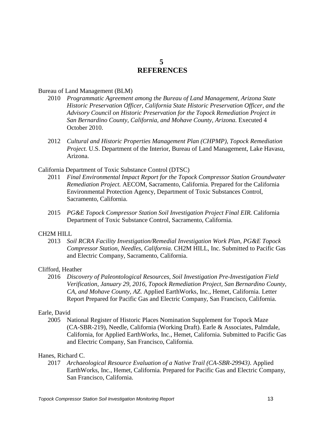## **5 REFERENCES**

#### <span id="page-16-0"></span>Bureau of Land Management (BLM)

- 2010 *Programmatic Agreement among the Bureau of Land Management, Arizona State Historic Preservation Officer, California State Historic Preservation Officer, and the Advisory Council on Historic Preservation for the Topock Remediation Project in San Bernardino County, California, and Mohave County, Arizona.* Executed 4 October 2010.
- 2012 *Cultural and Historic Properties Management Plan (CHPMP), Topock Remediation Project.* U.S. Department of the Interior, Bureau of Land Management, Lake Havasu, Arizona.

#### California Department of Toxic Substance Control (DTSC)

- 2011 *Final Environmental Impact Report for the Topock Compressor Station Groundwater Remediation Project.* AECOM, Sacramento, California. Prepared for the California Environmental Protection Agency, Department of Toxic Substances Control, Sacramento, California.
- 2015 *PG&E Topock Compressor Station Soil Investigation Project Final EIR.* California Department of Toxic Substance Control, Sacramento, California.

#### CH2M HILL

2013 *Soil RCRA Facility Investigation/Remedial Investigation Work Plan, PG&E Topock Compressor Station, Needles, California.* CH2M HILL, Inc. Submitted to Pacific Gas and Electric Company, Sacramento, California.

#### Clifford, Heather

2016 *Discovery of Paleontological Resources, Soil Investigation Pre-Investigation Field Verification, January 29, 2016, Topock Remediation Project, San Bernardino County, CA, and Mohave County, AZ.* Applied EarthWorks, Inc., Hemet, California. Letter Report Prepared for Pacific Gas and Electric Company, San Francisco, California.

#### Earle, David

2005 National Register of Historic Places Nomination Supplement for Topock Maze (CA-SBR-219), Needle, California (Working Draft). Earle & Associates, Palmdale, California, for Applied EarthWorks, Inc., Hemet, California. Submitted to Pacific Gas and Electric Company, San Francisco, California.

#### Hanes, Richard C.

2017 *Archaeological Resource Evaluation of a Native Trail (CA-SBR-29943)*. Applied EarthWorks, Inc., Hemet, California. Prepared for Pacific Gas and Electric Company, San Francisco, California.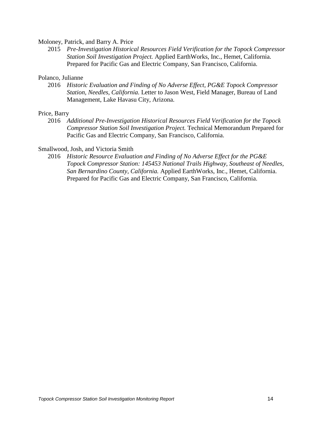#### Moloney, Patrick, and Barry A. Price

2015 *Pre-Investigation Historical Resources Field Verification for the Topock Compressor Station Soil Investigation Project.* Applied EarthWorks, Inc., Hemet, California. Prepared for Pacific Gas and Electric Company, San Francisco, California.

#### Polanco, Julianne

2016 *Historic Evaluation and Finding of No Adverse Effect, PG&E Topock Compressor Station, Needles, California.* Letter to Jason West, Field Manager, Bureau of Land Management, Lake Havasu City, Arizona.

#### Price, Barry

2016 *Additional Pre-Investigation Historical Resources Field Verification for the Topock Compressor Station Soil Investigation Project.* Technical Memorandum Prepared for Pacific Gas and Electric Company, San Francisco, California.

#### Smallwood, Josh, and Victoria Smith

2016 *Historic Resource Evaluation and Finding of No Adverse Effect for the PG&E Topock Compressor Station: 145453 National Trails Highway, Southeast of Needles, San Bernardino County, California.* Applied EarthWorks, Inc., Hemet, California. Prepared for Pacific Gas and Electric Company, San Francisco, California.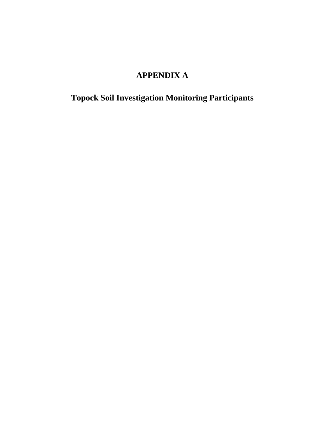# **APPENDIX A**

**Topock Soil Investigation Monitoring Participants**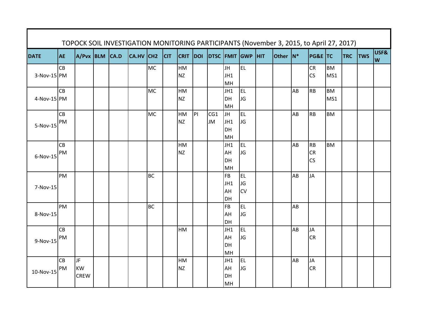| <b>DATE</b>   | <b>AE</b> | A/Pvx BLM CA.D |  | CA.HV CH2 |           | <b>CIT</b> | <b>CRIT</b> |   | DOI DTSC FMIT GWP HIT |           |           | Other N* |    | <b>PG&amp;E TC</b>     |           | <b>TRC</b> | <b>TWS</b> | USF&     |
|---------------|-----------|----------------|--|-----------|-----------|------------|-------------|---|-----------------------|-----------|-----------|----------|----|------------------------|-----------|------------|------------|----------|
|               | CB        |                |  |           | <b>MC</b> |            | HM          |   |                       | JH        | EL.       |          |    | CR                     | <b>BM</b> |            |            | <b>W</b> |
| $3-Nov-15$ PM |           |                |  |           |           |            | <b>NZ</b>   |   |                       | JH1       |           |          |    | $\overline{\text{CS}}$ | MS1       |            |            |          |
|               |           |                |  |           |           |            |             |   |                       | MH        |           |          |    |                        |           |            |            |          |
|               | CB        |                |  |           | <b>MC</b> |            | HM          |   |                       | JH1       | EL        |          | AB | <b>RB</b>              | <b>BM</b> |            |            |          |
| 4-Nov-15 PM   |           |                |  |           |           |            | <b>NZ</b>   |   |                       | DH        | JG        |          |    |                        | MS1       |            |            |          |
|               |           |                |  |           |           |            |             |   |                       | MH        |           |          |    |                        |           |            |            |          |
|               | CB        |                |  |           | <b>MC</b> |            | HM          | P | CG1                   | JH.       | EL.       |          | AB | <b>RB</b>              | <b>BM</b> |            |            |          |
|               | PM        |                |  |           |           |            | <b>NZ</b>   |   | <b>JM</b>             | JH1       | JG        |          |    |                        |           |            |            |          |
| 5-Nov-15      |           |                |  |           |           |            |             |   |                       | DH        |           |          |    |                        |           |            |            |          |
|               |           |                |  |           |           |            |             |   |                       | MH        |           |          |    |                        |           |            |            |          |
|               | CB        |                |  |           |           |            | HM          |   |                       | JH1       | EL        |          | AB | <b>RB</b>              | <b>BM</b> |            |            |          |
| 6-Nov-15      | PM        |                |  |           |           |            | <b>NZ</b>   |   |                       | AH        | JG        |          |    | <b>CR</b>              |           |            |            |          |
|               |           |                |  |           |           |            |             |   |                       | DH        |           |          |    | CS                     |           |            |            |          |
|               |           |                |  |           |           |            |             |   |                       | MH        |           |          |    |                        |           |            |            |          |
|               | PM        |                |  |           | <b>BC</b> |            |             |   |                       | <b>FB</b> | <b>EL</b> |          | AB | JA                     |           |            |            |          |
| 7-Nov-15      |           |                |  |           |           |            |             |   |                       | JH1       | JG        |          |    |                        |           |            |            |          |
|               |           |                |  |           |           |            |             |   |                       | AH        | <b>CV</b> |          |    |                        |           |            |            |          |
|               |           |                |  |           |           |            |             |   |                       | DH        |           |          |    |                        |           |            |            |          |
|               | PM        |                |  |           | <b>BC</b> |            |             |   |                       | <b>FB</b> | <b>EL</b> |          | AB |                        |           |            |            |          |
| 8-Nov-15      |           |                |  |           |           |            |             |   |                       | AH        | JG        |          |    |                        |           |            |            |          |
|               | CB        |                |  |           |           |            | HM          |   |                       | DH<br>JH1 | EL.       |          | AB | JA                     |           |            |            |          |
|               | PM        |                |  |           |           |            |             |   |                       | AH        | JG        |          |    | <b>CR</b>              |           |            |            |          |
| 9-Nov-15      |           |                |  |           |           |            |             |   |                       | DH        |           |          |    |                        |           |            |            |          |
|               |           |                |  |           |           |            |             |   |                       | MH        |           |          |    |                        |           |            |            |          |
|               | CB        | JF             |  |           |           |            | HM          |   |                       | JH1       | EL        |          | AB | JA                     |           |            |            |          |
|               | PM        | <b>KW</b>      |  |           |           |            | <b>NZ</b>   |   |                       | AH        | JG        |          |    | <b>CR</b>              |           |            |            |          |
| 10-Nov-15     |           | <b>CREW</b>    |  |           |           |            |             |   |                       | DH        |           |          |    |                        |           |            |            |          |
|               |           |                |  |           |           |            |             |   |                       | MH        |           |          |    |                        |           |            |            |          |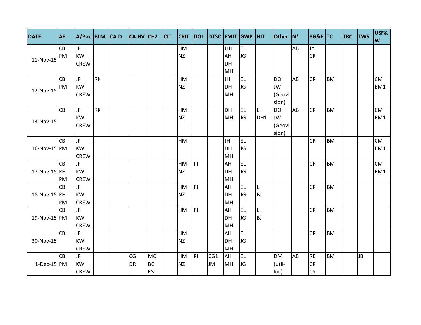| <b>DATE</b>   | <b>AE</b> | A/Pvx BLM CA.D |           | CA.HV CH2 |           | <b>CIT</b> | <b>CRIT</b> | DOI |           |           | DTSC FMIT GWP HIT |           | Other N*  |    | <b>PG&amp;E TC</b> |           | <b>TRC</b> | <b>TWS</b> | USF&<br>W |
|---------------|-----------|----------------|-----------|-----------|-----------|------------|-------------|-----|-----------|-----------|-------------------|-----------|-----------|----|--------------------|-----------|------------|------------|-----------|
|               | CB        | JF             |           |           |           |            | HM          |     |           | JH1       | <b>EL</b>         |           |           | AB | <b>JA</b>          |           |            |            |           |
| 11-Nov-15     | PM        | <b>KW</b>      |           |           |           |            | <b>NZ</b>   |     |           | AH        | JG                |           |           |    | <b>CR</b>          |           |            |            |           |
|               |           | <b>CREW</b>    |           |           |           |            |             |     |           | DH        |                   |           |           |    |                    |           |            |            |           |
|               |           |                |           |           |           |            |             |     |           | MH        |                   |           |           |    |                    |           |            |            |           |
|               | CB        | JF             | <b>RK</b> |           |           |            | HM          |     |           | JH        | <b>EL</b>         |           | <b>DO</b> | AB | <b>CR</b>          | <b>BM</b> |            |            | <b>CM</b> |
| 12-Nov-15     | PM        | <b>KW</b>      |           |           |           |            | <b>NZ</b>   |     |           | <b>DH</b> | JG                |           | JW        |    |                    |           |            |            | BM1       |
|               |           | <b>CREW</b>    |           |           |           |            |             |     |           | MH        |                   |           | (Geovi    |    |                    |           |            |            |           |
|               |           |                |           |           |           |            |             |     |           |           |                   |           | sion)     |    |                    |           |            |            |           |
|               | CB        | JF             | <b>RK</b> |           |           |            | HM          |     |           | DH        | EL                | LH        | <b>DO</b> | AB | <b>CR</b>          | <b>BM</b> |            |            | <b>CM</b> |
| 13-Nov-15     |           | <b>KW</b>      |           |           |           |            | <b>NZ</b>   |     |           | MH        | JG                | DH1       | <b>JW</b> |    |                    |           |            |            | BM1       |
|               |           | <b>CREW</b>    |           |           |           |            |             |     |           |           |                   |           | (Geovi    |    |                    |           |            |            |           |
|               |           |                |           |           |           |            |             |     |           |           |                   |           | sion)     |    |                    |           |            |            |           |
|               | <b>CB</b> | JF             |           |           |           |            | <b>HM</b>   |     |           | JH        | EL                |           |           |    | <b>CR</b>          | <b>BM</b> |            |            | <b>CM</b> |
| 16-Nov-15 PM  |           | <b>KW</b>      |           |           |           |            |             |     |           | DH        | JG                |           |           |    |                    |           |            |            | BM1       |
|               |           | <b>CREW</b>    |           |           |           |            |             |     |           | MH        |                   |           |           |    |                    |           |            |            |           |
|               | CB        | JF.            |           |           |           |            | HM          | P   |           | AH        | EL                |           |           |    | <b>CR</b>          | <b>BM</b> |            |            | <b>CM</b> |
| 17-Nov-15 RH  |           | <b>KW</b>      |           |           |           |            | <b>NZ</b>   |     |           | DH        | JG                |           |           |    |                    |           |            |            | BM1       |
|               | PM        | <b>CREW</b>    |           |           |           |            |             |     |           | MH        |                   |           |           |    |                    |           |            |            |           |
|               | CB        | JF             |           |           |           |            | HM          | P   |           | AH        | EL                | LH        |           |    | <b>CR</b>          | <b>BM</b> |            |            |           |
| 18-Nov-15 RH  |           | <b>KW</b>      |           |           |           |            | <b>NZ</b>   |     |           | <b>DH</b> | JG                | <b>BJ</b> |           |    |                    |           |            |            |           |
|               | PM        | <b>CREW</b>    |           |           |           |            |             |     |           | MH        |                   |           |           |    |                    |           |            |            |           |
|               | CB        | JF             |           |           |           |            | HM          | P   |           | AH        | <b>EL</b>         | LH        |           |    | <b>CR</b>          | <b>BM</b> |            |            |           |
| 19-Nov-15 PM  |           | <b>KW</b>      |           |           |           |            |             |     |           | DH        | JG                | <b>BJ</b> |           |    |                    |           |            |            |           |
|               |           | <b>CREW</b>    |           |           |           |            |             |     |           | MH        |                   |           |           |    |                    |           |            |            |           |
|               | <b>CB</b> | JF             |           |           |           |            | HM          |     |           | AH        | EL                |           |           |    | <b>CR</b>          | <b>BM</b> |            |            |           |
| 30-Nov-15     |           | <b>KW</b>      |           |           |           |            | <b>NZ</b>   |     |           | DH        | JG                |           |           |    |                    |           |            |            |           |
|               |           | <b>CREW</b>    |           |           |           |            |             |     |           | MH        |                   |           |           |    |                    |           |            |            |           |
|               | CB        | JF             |           | CG        | <b>MC</b> |            | HM          | P   | CG1       | AH        | EL.               |           | <b>DM</b> | AB | <b>RB</b>          | <b>BM</b> |            | <b>JB</b>  |           |
| $1-Dec-15$ PM |           | <b>KW</b>      |           | <b>DR</b> | <b>BC</b> |            | <b>NZ</b>   |     | <b>JM</b> | MH        | JG                |           | (util-    |    | <b>CR</b>          |           |            |            |           |
|               |           | <b>CREW</b>    |           |           | <b>KS</b> |            |             |     |           |           |                   |           | loc)      |    | <b>CS</b>          |           |            |            |           |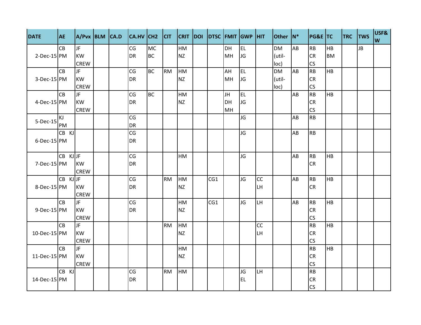| <b>DATE</b>       | <b>AE</b> | A/Pvx BLM CA.D |  | CA.HV CH2 CIT |           |           |           | CRIT DOI DTSC FMIT GWP HIT |           |           |           | Other N*  |    | <b>PG&amp;E TC</b> |           | <b>TRC</b> | <b>TWS</b> | USF&<br>W |
|-------------------|-----------|----------------|--|---------------|-----------|-----------|-----------|----------------------------|-----------|-----------|-----------|-----------|----|--------------------|-----------|------------|------------|-----------|
|                   | CB        | JF.            |  | CG            | <b>MC</b> |           | HM        |                            | <b>DH</b> | <b>EL</b> |           | <b>DM</b> | AB | <b>RB</b>          | <b>HB</b> |            | <b>JB</b>  |           |
| 2-Dec-15 PM       |           | <b>KW</b>      |  | <b>DR</b>     | <b>BC</b> |           | <b>NZ</b> |                            | MH        | JG        |           | (util-    |    | <b>CR</b>          | <b>BM</b> |            |            |           |
|                   |           | <b>CREW</b>    |  |               |           |           |           |                            |           |           |           | loc)      |    | CS                 |           |            |            |           |
|                   | <b>CB</b> | JF.            |  | CG            | <b>BC</b> | <b>RM</b> | HM        |                            | AH        | <b>EL</b> |           | <b>DM</b> | AB | <b>RB</b>          | <b>HB</b> |            |            |           |
| 3-Dec-15 PM       |           | <b>KW</b>      |  | <b>DR</b>     |           |           | <b>NZ</b> |                            | MH        | <b>JG</b> |           | (util-    |    | <b>CR</b>          |           |            |            |           |
|                   |           | <b>CREW</b>    |  |               |           |           |           |                            |           |           |           | loc)      |    | <b>CS</b>          |           |            |            |           |
|                   | Iсв       | <b>JF</b>      |  | CG            | <b>BC</b> |           | HM        |                            | JH        | <b>EL</b> |           |           | AB | <b>RB</b>          | <b>HB</b> |            |            |           |
| 4-Dec-15 PM       |           | <b>KW</b>      |  | <b>DR</b>     |           |           | <b>NZ</b> |                            | <b>DH</b> | <b>JG</b> |           |           |    | <b>CR</b>          |           |            |            |           |
|                   |           | <b>CREW</b>    |  |               |           |           |           |                            | MH        |           |           |           |    | CS                 |           |            |            |           |
| 5-Dec-15          | ΚJ        |                |  | CG            |           |           |           |                            |           | JG        |           |           | AB | <b>RB</b>          |           |            |            |           |
|                   | PM        |                |  | <b>DR</b>     |           |           |           |                            |           |           |           |           |    |                    |           |            |            |           |
|                   | CB KJ     |                |  | CG            |           |           |           |                            |           | JG        |           |           | AB | <b>RB</b>          |           |            |            |           |
| $6$ -Dec-15 $ PM$ |           |                |  | <b>DR</b>     |           |           |           |                            |           |           |           |           |    |                    |           |            |            |           |
|                   | CB KJJF   |                |  | CG            |           |           | HM        |                            |           | JG        |           |           | AB | <b>RB</b>          | <b>HB</b> |            |            |           |
| $7-Dec-15$ PM     |           | <b>KW</b>      |  | <b>DR</b>     |           |           |           |                            |           |           |           |           |    | <b>CR</b>          |           |            |            |           |
|                   |           | <b>CREW</b>    |  |               |           |           |           |                            |           |           |           |           |    |                    |           |            |            |           |
|                   | CB KJJF   |                |  | CG            |           | <b>RM</b> | HM        | CG1                        |           | JG        | <b>CC</b> |           | AB | <b>RB</b>          | <b>HB</b> |            |            |           |
| 8-Dec-15 PM       |           | <b>KW</b>      |  | <b>DR</b>     |           |           | <b>NZ</b> |                            |           |           | LH        |           |    | <b>CR</b>          |           |            |            |           |
|                   |           | <b>CREW</b>    |  |               |           |           |           |                            |           |           |           |           |    |                    |           |            |            |           |
|                   | <b>CB</b> | JF             |  | CG            |           |           | HM        | CG1                        |           | JG        | LH.       |           | AB | <b>RB</b>          | <b>HB</b> |            |            |           |
| $9$ -Dec-15 $ PM$ |           | <b>KW</b>      |  | <b>DR</b>     |           |           | <b>NZ</b> |                            |           |           |           |           |    | <b>CR</b>          |           |            |            |           |
|                   |           | <b>CREW</b>    |  |               |           |           |           |                            |           |           |           |           |    | <b>CS</b>          |           |            |            |           |
|                   | <b>CB</b> | JF             |  |               |           | <b>RM</b> | <b>HM</b> |                            |           |           | <b>CC</b> |           |    | <b>RB</b>          | <b>HB</b> |            |            |           |
| 10-Dec-15 PM      |           | <b>KW</b>      |  |               |           |           | <b>NZ</b> |                            |           |           | LH        |           |    | <b>CR</b>          |           |            |            |           |
|                   |           | <b>CREW</b>    |  |               |           |           |           |                            |           |           |           |           |    | <b>CS</b>          |           |            |            |           |
|                   | <b>CB</b> | JF.            |  |               |           |           | HM        |                            |           |           |           |           |    | <b>RB</b>          | <b>HB</b> |            |            |           |
| 11-Dec-15 PM      |           | <b>KW</b>      |  |               |           |           | <b>NZ</b> |                            |           |           |           |           |    | <b>CR</b>          |           |            |            |           |
|                   |           | <b>CREW</b>    |  |               |           |           |           |                            |           |           |           |           |    | <b>CS</b>          |           |            |            |           |
|                   | CB KJ     |                |  | CG            |           | <b>RM</b> | <b>HM</b> |                            |           | JG        | LH        |           |    | <b>RB</b>          |           |            |            |           |
| 14-Dec-15 PM      |           |                |  | <b>DR</b>     |           |           |           |                            |           | <b>EL</b> |           |           |    | <b>CR</b>          |           |            |            |           |
|                   |           |                |  |               |           |           |           |                            |           |           |           |           |    | <b>CS</b>          |           |            |            |           |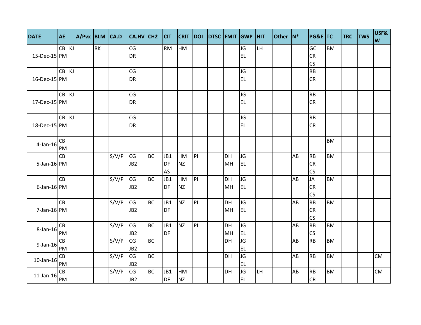| <b>DATE</b>       | <b>AE</b>       | A/Pvx BLM CA.D |           |       | CA.HV CH2              |           | C         | <b>CRIT</b> | DOI       | DTSC FMIT GWP HIT |           |                 |           | Other N* |    | PG&E TC         |           | <b>TRC</b> | <b>TWS</b> | USF&<br>W |
|-------------------|-----------------|----------------|-----------|-------|------------------------|-----------|-----------|-------------|-----------|-------------------|-----------|-----------------|-----------|----------|----|-----------------|-----------|------------|------------|-----------|
|                   | CB KJ           |                | <b>RK</b> |       | CG                     |           | <b>RM</b> | <b>HM</b>   |           |                   |           | JG              | LH        |          |    | GC              | <b>BM</b> |            |            |           |
| 15-Dec-15 PM      |                 |                |           |       | <b>DR</b>              |           |           |             |           |                   |           | <b>EL</b>       |           |          |    | <b>CR</b>       |           |            |            |           |
|                   | CB KJ           |                |           |       | CG                     |           |           |             |           |                   |           | JG              |           |          |    | CS<br><b>RB</b> |           |            |            |           |
| 16-Dec-15 PM      |                 |                |           |       | <b>DR</b>              |           |           |             |           |                   |           | <b>EL</b>       |           |          |    | <b>CR</b>       |           |            |            |           |
|                   |                 |                |           |       |                        |           |           |             |           |                   |           |                 |           |          |    |                 |           |            |            |           |
|                   | CB KJ           |                |           |       | CG                     |           |           |             |           |                   |           | JG              |           |          |    | <b>RB</b>       |           |            |            |           |
| 17-Dec-15 PM      |                 |                |           |       | <b>DR</b>              |           |           |             |           |                   |           | <b>EL</b>       |           |          |    | <b>CR</b>       |           |            |            |           |
|                   |                 |                |           |       |                        |           |           |             |           |                   |           |                 |           |          |    |                 |           |            |            |           |
|                   | CB KJ           |                |           |       | CG                     |           |           |             |           |                   |           | JG              |           |          |    | <b>RB</b>       |           |            |            |           |
| 18-Dec-15 PM      |                 |                |           |       | DR                     |           |           |             |           |                   |           | <b>EL</b>       |           |          |    | <b>CR</b>       |           |            |            |           |
|                   | CB              |                |           |       |                        |           |           |             |           |                   |           |                 |           |          |    |                 | <b>BM</b> |            |            |           |
| $4$ -Jan-16       | PM              |                |           |       |                        |           |           |             |           |                   |           |                 |           |          |    |                 |           |            |            |           |
|                   | <b>CB</b>       |                |           | S/V/P | CG                     | <b>BC</b> | JB1       | <b>HM</b>   | P         |                   | DH        | <b>JG</b>       |           |          | AB | <b>RB</b>       | <b>BM</b> |            |            |           |
| 5-Jan-16 PM       |                 |                |           |       | JB <sub>2</sub>        |           | <b>DF</b> | <b>NZ</b>   |           |                   | MH        | <b>EL</b>       |           |          |    | <b>CR</b>       |           |            |            |           |
|                   |                 |                |           |       |                        |           | AS        |             |           |                   |           |                 |           |          |    | <b>CS</b>       |           |            |            |           |
|                   | <b>CB</b>       |                |           | S/V/P | CG                     | <b>BC</b> | JB1       | HM          | PI.       |                   | DH        | JG.             |           |          | AB | JA              | <b>BM</b> |            |            |           |
| $6$ -Jan-16 $ PM$ |                 |                |           |       | JB <sub>2</sub>        |           | <b>DF</b> | <b>NZ</b>   |           |                   | MH        | <b>EL</b>       |           |          |    | <b>CR</b>       |           |            |            |           |
|                   |                 |                |           |       |                        |           |           |             |           |                   |           |                 |           |          |    | CS              |           |            |            |           |
|                   | <b>CB</b>       |                |           | S/V/P | CG                     | <b>BC</b> | JB1       | <b>NZ</b>   | PI        |                   | <b>DH</b> | <b>JG</b>       |           |          | AB | <b>RB</b>       | <b>BM</b> |            |            |           |
| $7$ -Jan-16 $ PM$ |                 |                |           |       | JB <sub>2</sub>        |           | <b>DF</b> |             |           |                   | MH        | EL.             |           |          |    | <b>CR</b>       |           |            |            |           |
|                   |                 |                |           |       |                        |           |           |             |           |                   |           |                 |           |          |    | CS              |           |            |            |           |
| 8-Jan-16          | CB              |                |           | S/V/P | CG                     | <b>BC</b> | JB1       | <b>NZ</b>   | <b>PI</b> |                   | <b>DH</b> | JG.             |           |          | AB | <b>RB</b>       | <b>BM</b> |            |            |           |
|                   | PM              |                |           |       | JB <sub>2</sub>        |           | DF        |             |           |                   | MH        | <b>EL</b>       |           |          |    | CS              |           |            |            |           |
| $9$ -Jan-16       | <b>CB</b><br>PM |                |           | S/V/P | CG<br>JB <sub>2</sub>  | <b>BC</b> |           |             |           |                   | DH        | JG<br><b>EL</b> |           |          | AB | <b>RB</b>       | <b>BM</b> |            |            |           |
|                   | CB              |                |           | S/V/P | $\overline{\text{CG}}$ | BC        |           |             |           |                   | DH        | JG              |           |          | AB | <b>RB</b>       | <b>BM</b> |            |            | <b>CM</b> |
| $10$ -Jan- $16$   | PM              |                |           |       | JB <sub>2</sub>        |           |           |             |           |                   |           | <b>EL</b>       |           |          |    |                 |           |            |            |           |
|                   | CB              |                |           | S/V/P | CG                     | <b>BC</b> | JB1       | <b>HM</b>   |           |                   | DH        | JG              | <b>LH</b> |          | AB | RB              | <b>BM</b> |            |            | CM        |
| $11$ -Jan- $16$   | PM              |                |           |       | JB <sub>2</sub>        |           | DF        | <b>NZ</b>   |           |                   |           | <b>EL</b>       |           |          |    | <b>CR</b>       |           |            |            |           |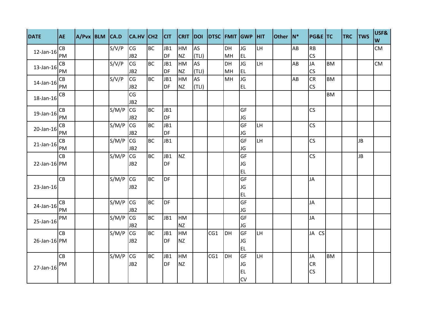| S/V/P<br><b>BC</b><br>JB1<br>DH<br>CG<br>HM<br>AS<br>JG<br>LH.<br>AB<br><b>CM</b><br>CB<br>12-Jan-16<br><b>NZ</b><br>CS<br>PM<br>JB <sub>2</sub><br>DF<br>(TLI)<br>MH<br><b>EL</b><br>CG<br><b>AS</b><br>JG<br>LH.<br>JA<br><b>CM</b><br>S/V/P<br><b>BC</b><br>JB1<br>HM<br><b>BM</b><br>CB<br>DH<br>AB<br>13-Jan-16<br>CS<br>PM<br>JB <sub>2</sub><br><b>DF</b><br><b>NZ</b><br>(TLI)<br>MH<br><b>EL</b><br><b>CR</b><br>S/V/P<br>CG<br>JB1<br>JG<br><b>BM</b><br><b>BC</b><br><b>HM</b><br><b>AS</b><br><b>MH</b><br>CB<br>AB<br>14-Jan-16<br>CS<br><b>NZ</b><br>(TLI)<br>JB <sub>2</sub><br>DF<br><b>EL</b><br>PM<br>CG<br><b>BM</b><br>СB<br>18-Jan-16<br>JB <sub>2</sub><br>CS<br>S/M/P<br><b>CG</b><br><b>BC</b><br>${\sf CB}$<br>JB1<br>GF<br>19-Jan-16<br>PM<br>JB <sub>2</sub><br><b>DF</b><br>JG<br>CS<br><b>CG</b><br><b>CB</b><br>S/M/P<br><b>BC</b><br>GF<br>LH<br>JB1<br>20-Jan-16<br><b>DF</b><br>JB <sub>2</sub><br>PM<br>JG<br><b>CG</b><br>CS<br>S/M/P<br><b>BC</b><br>GF<br>LH.<br><b>JB</b><br>CB<br>JB1<br>$21$ -Jan- $16$<br>JB <sub>2</sub><br>JG<br>PM<br><b>CG</b><br>NZ<br>CS<br>S/M/P<br><b>BC</b><br>JB1<br>GF<br><b>JB</b><br><b>CB</b><br><b>DF</b><br>22-Jan-16 PM<br>JB <sub>2</sub><br>JG<br><b>EL</b><br>CG<br><b>CB</b><br>S/M/P<br><b>BC</b><br><b>DF</b><br>GF<br>JA<br>23-Jan-16<br>JB <sub>2</sub><br>JG<br><b>EL</b><br><b>CG</b><br>S/M/P<br><b>BC</b><br><b>DF</b><br>GF<br>JA<br>CB<br>24-Jan-16<br>JB <sub>2</sub><br>PM<br>JG<br>S/M/P<br>JB1<br>GF<br><b>CG</b><br><b>BC</b><br><b>HM</b><br>JA<br>PM<br>25-Jan-16<br>JB <sub>2</sub><br><b>NZ</b><br>JG<br><b>CG</b><br><b>CB</b><br>S/M/P<br><b>BC</b><br>GF<br>JB1<br>HM<br>CG1<br>DH<br>LH<br>JA CS<br>26-Jan-16 PM<br>JG<br>JB <sub>2</sub><br><b>DF</b><br><b>NZ</b><br><b>EL</b><br><b>CG</b><br>GF<br><b>BM</b><br>S/M/P<br>JB1<br>HM<br>LH.<br><b>CB</b><br><b>BC</b><br>CG1<br>DH<br>JA<br>CR<br>JB <sub>2</sub><br><b>DF</b><br><b>NZ</b><br>JG<br>PM<br>27-Jan-16<br>CS<br><b>EL</b> | <b>DATE</b> | <b>AE</b> | A/Pvx BLM CA.D |  | CA.HV CH2 | <b>CIT</b> | <b>CRIT</b> | DOI |  | DTSC FMIT GWP HIT | <b>Other</b> | $ N^*$ | <b>PG&amp;E TC</b> | <b>TRC</b> | <b>TWS</b> | USF&<br>W |
|------------------------------------------------------------------------------------------------------------------------------------------------------------------------------------------------------------------------------------------------------------------------------------------------------------------------------------------------------------------------------------------------------------------------------------------------------------------------------------------------------------------------------------------------------------------------------------------------------------------------------------------------------------------------------------------------------------------------------------------------------------------------------------------------------------------------------------------------------------------------------------------------------------------------------------------------------------------------------------------------------------------------------------------------------------------------------------------------------------------------------------------------------------------------------------------------------------------------------------------------------------------------------------------------------------------------------------------------------------------------------------------------------------------------------------------------------------------------------------------------------------------------------------------------------------------------------------------------------------------------------------------------------------------------------------------------------------------------------------------------------------------------------------------------------------------------------------------------------------------------------------------------------------------------------------------------------------------------------------------------|-------------|-----------|----------------|--|-----------|------------|-------------|-----|--|-------------------|--------------|--------|--------------------|------------|------------|-----------|
|                                                                                                                                                                                                                                                                                                                                                                                                                                                                                                                                                                                                                                                                                                                                                                                                                                                                                                                                                                                                                                                                                                                                                                                                                                                                                                                                                                                                                                                                                                                                                                                                                                                                                                                                                                                                                                                                                                                                                                                                |             |           |                |  |           |            |             |     |  |                   |              |        | <b>RB</b>          |            |            |           |
|                                                                                                                                                                                                                                                                                                                                                                                                                                                                                                                                                                                                                                                                                                                                                                                                                                                                                                                                                                                                                                                                                                                                                                                                                                                                                                                                                                                                                                                                                                                                                                                                                                                                                                                                                                                                                                                                                                                                                                                                |             |           |                |  |           |            |             |     |  |                   |              |        |                    |            |            |           |
|                                                                                                                                                                                                                                                                                                                                                                                                                                                                                                                                                                                                                                                                                                                                                                                                                                                                                                                                                                                                                                                                                                                                                                                                                                                                                                                                                                                                                                                                                                                                                                                                                                                                                                                                                                                                                                                                                                                                                                                                |             |           |                |  |           |            |             |     |  |                   |              |        |                    |            |            |           |
|                                                                                                                                                                                                                                                                                                                                                                                                                                                                                                                                                                                                                                                                                                                                                                                                                                                                                                                                                                                                                                                                                                                                                                                                                                                                                                                                                                                                                                                                                                                                                                                                                                                                                                                                                                                                                                                                                                                                                                                                |             |           |                |  |           |            |             |     |  |                   |              |        |                    |            |            |           |
|                                                                                                                                                                                                                                                                                                                                                                                                                                                                                                                                                                                                                                                                                                                                                                                                                                                                                                                                                                                                                                                                                                                                                                                                                                                                                                                                                                                                                                                                                                                                                                                                                                                                                                                                                                                                                                                                                                                                                                                                |             |           |                |  |           |            |             |     |  |                   |              |        |                    |            |            |           |
|                                                                                                                                                                                                                                                                                                                                                                                                                                                                                                                                                                                                                                                                                                                                                                                                                                                                                                                                                                                                                                                                                                                                                                                                                                                                                                                                                                                                                                                                                                                                                                                                                                                                                                                                                                                                                                                                                                                                                                                                |             |           |                |  |           |            |             |     |  |                   |              |        |                    |            |            |           |
|                                                                                                                                                                                                                                                                                                                                                                                                                                                                                                                                                                                                                                                                                                                                                                                                                                                                                                                                                                                                                                                                                                                                                                                                                                                                                                                                                                                                                                                                                                                                                                                                                                                                                                                                                                                                                                                                                                                                                                                                |             |           |                |  |           |            |             |     |  |                   |              |        |                    |            |            |           |
|                                                                                                                                                                                                                                                                                                                                                                                                                                                                                                                                                                                                                                                                                                                                                                                                                                                                                                                                                                                                                                                                                                                                                                                                                                                                                                                                                                                                                                                                                                                                                                                                                                                                                                                                                                                                                                                                                                                                                                                                |             |           |                |  |           |            |             |     |  |                   |              |        |                    |            |            |           |
|                                                                                                                                                                                                                                                                                                                                                                                                                                                                                                                                                                                                                                                                                                                                                                                                                                                                                                                                                                                                                                                                                                                                                                                                                                                                                                                                                                                                                                                                                                                                                                                                                                                                                                                                                                                                                                                                                                                                                                                                |             |           |                |  |           |            |             |     |  |                   |              |        |                    |            |            |           |
|                                                                                                                                                                                                                                                                                                                                                                                                                                                                                                                                                                                                                                                                                                                                                                                                                                                                                                                                                                                                                                                                                                                                                                                                                                                                                                                                                                                                                                                                                                                                                                                                                                                                                                                                                                                                                                                                                                                                                                                                |             |           |                |  |           |            |             |     |  |                   |              |        |                    |            |            |           |
|                                                                                                                                                                                                                                                                                                                                                                                                                                                                                                                                                                                                                                                                                                                                                                                                                                                                                                                                                                                                                                                                                                                                                                                                                                                                                                                                                                                                                                                                                                                                                                                                                                                                                                                                                                                                                                                                                                                                                                                                |             |           |                |  |           |            |             |     |  |                   |              |        |                    |            |            |           |
|                                                                                                                                                                                                                                                                                                                                                                                                                                                                                                                                                                                                                                                                                                                                                                                                                                                                                                                                                                                                                                                                                                                                                                                                                                                                                                                                                                                                                                                                                                                                                                                                                                                                                                                                                                                                                                                                                                                                                                                                |             |           |                |  |           |            |             |     |  |                   |              |        |                    |            |            |           |
|                                                                                                                                                                                                                                                                                                                                                                                                                                                                                                                                                                                                                                                                                                                                                                                                                                                                                                                                                                                                                                                                                                                                                                                                                                                                                                                                                                                                                                                                                                                                                                                                                                                                                                                                                                                                                                                                                                                                                                                                |             |           |                |  |           |            |             |     |  |                   |              |        |                    |            |            |           |
|                                                                                                                                                                                                                                                                                                                                                                                                                                                                                                                                                                                                                                                                                                                                                                                                                                                                                                                                                                                                                                                                                                                                                                                                                                                                                                                                                                                                                                                                                                                                                                                                                                                                                                                                                                                                                                                                                                                                                                                                |             |           |                |  |           |            |             |     |  |                   |              |        |                    |            |            |           |
|                                                                                                                                                                                                                                                                                                                                                                                                                                                                                                                                                                                                                                                                                                                                                                                                                                                                                                                                                                                                                                                                                                                                                                                                                                                                                                                                                                                                                                                                                                                                                                                                                                                                                                                                                                                                                                                                                                                                                                                                |             |           |                |  |           |            |             |     |  |                   |              |        |                    |            |            |           |
|                                                                                                                                                                                                                                                                                                                                                                                                                                                                                                                                                                                                                                                                                                                                                                                                                                                                                                                                                                                                                                                                                                                                                                                                                                                                                                                                                                                                                                                                                                                                                                                                                                                                                                                                                                                                                                                                                                                                                                                                |             |           |                |  |           |            |             |     |  |                   |              |        |                    |            |            |           |
|                                                                                                                                                                                                                                                                                                                                                                                                                                                                                                                                                                                                                                                                                                                                                                                                                                                                                                                                                                                                                                                                                                                                                                                                                                                                                                                                                                                                                                                                                                                                                                                                                                                                                                                                                                                                                                                                                                                                                                                                |             |           |                |  |           |            |             |     |  |                   |              |        |                    |            |            |           |
|                                                                                                                                                                                                                                                                                                                                                                                                                                                                                                                                                                                                                                                                                                                                                                                                                                                                                                                                                                                                                                                                                                                                                                                                                                                                                                                                                                                                                                                                                                                                                                                                                                                                                                                                                                                                                                                                                                                                                                                                |             |           |                |  |           |            |             |     |  |                   |              |        |                    |            |            |           |
|                                                                                                                                                                                                                                                                                                                                                                                                                                                                                                                                                                                                                                                                                                                                                                                                                                                                                                                                                                                                                                                                                                                                                                                                                                                                                                                                                                                                                                                                                                                                                                                                                                                                                                                                                                                                                                                                                                                                                                                                |             |           |                |  |           |            |             |     |  |                   |              |        |                    |            |            |           |
|                                                                                                                                                                                                                                                                                                                                                                                                                                                                                                                                                                                                                                                                                                                                                                                                                                                                                                                                                                                                                                                                                                                                                                                                                                                                                                                                                                                                                                                                                                                                                                                                                                                                                                                                                                                                                                                                                                                                                                                                |             |           |                |  |           |            |             |     |  |                   |              |        |                    |            |            |           |
|                                                                                                                                                                                                                                                                                                                                                                                                                                                                                                                                                                                                                                                                                                                                                                                                                                                                                                                                                                                                                                                                                                                                                                                                                                                                                                                                                                                                                                                                                                                                                                                                                                                                                                                                                                                                                                                                                                                                                                                                |             |           |                |  |           |            |             |     |  |                   |              |        |                    |            |            |           |
|                                                                                                                                                                                                                                                                                                                                                                                                                                                                                                                                                                                                                                                                                                                                                                                                                                                                                                                                                                                                                                                                                                                                                                                                                                                                                                                                                                                                                                                                                                                                                                                                                                                                                                                                                                                                                                                                                                                                                                                                |             |           |                |  |           |            |             |     |  |                   |              |        |                    |            |            |           |
|                                                                                                                                                                                                                                                                                                                                                                                                                                                                                                                                                                                                                                                                                                                                                                                                                                                                                                                                                                                                                                                                                                                                                                                                                                                                                                                                                                                                                                                                                                                                                                                                                                                                                                                                                                                                                                                                                                                                                                                                |             |           |                |  |           |            |             |     |  |                   |              |        |                    |            |            |           |
|                                                                                                                                                                                                                                                                                                                                                                                                                                                                                                                                                                                                                                                                                                                                                                                                                                                                                                                                                                                                                                                                                                                                                                                                                                                                                                                                                                                                                                                                                                                                                                                                                                                                                                                                                                                                                                                                                                                                                                                                |             |           |                |  |           |            |             |     |  |                   |              |        |                    |            |            |           |
|                                                                                                                                                                                                                                                                                                                                                                                                                                                                                                                                                                                                                                                                                                                                                                                                                                                                                                                                                                                                                                                                                                                                                                                                                                                                                                                                                                                                                                                                                                                                                                                                                                                                                                                                                                                                                                                                                                                                                                                                |             |           |                |  |           |            |             |     |  |                   |              |        |                    |            |            |           |
|                                                                                                                                                                                                                                                                                                                                                                                                                                                                                                                                                                                                                                                                                                                                                                                                                                                                                                                                                                                                                                                                                                                                                                                                                                                                                                                                                                                                                                                                                                                                                                                                                                                                                                                                                                                                                                                                                                                                                                                                |             |           |                |  |           |            |             |     |  |                   |              |        |                    |            |            |           |
|                                                                                                                                                                                                                                                                                                                                                                                                                                                                                                                                                                                                                                                                                                                                                                                                                                                                                                                                                                                                                                                                                                                                                                                                                                                                                                                                                                                                                                                                                                                                                                                                                                                                                                                                                                                                                                                                                                                                                                                                |             |           |                |  |           |            |             |     |  |                   |              |        |                    |            |            |           |
|                                                                                                                                                                                                                                                                                                                                                                                                                                                                                                                                                                                                                                                                                                                                                                                                                                                                                                                                                                                                                                                                                                                                                                                                                                                                                                                                                                                                                                                                                                                                                                                                                                                                                                                                                                                                                                                                                                                                                                                                |             |           |                |  |           |            |             |     |  |                   |              |        |                    |            |            |           |
|                                                                                                                                                                                                                                                                                                                                                                                                                                                                                                                                                                                                                                                                                                                                                                                                                                                                                                                                                                                                                                                                                                                                                                                                                                                                                                                                                                                                                                                                                                                                                                                                                                                                                                                                                                                                                                                                                                                                                                                                |             |           |                |  |           |            |             |     |  |                   |              |        |                    |            |            |           |
|                                                                                                                                                                                                                                                                                                                                                                                                                                                                                                                                                                                                                                                                                                                                                                                                                                                                                                                                                                                                                                                                                                                                                                                                                                                                                                                                                                                                                                                                                                                                                                                                                                                                                                                                                                                                                                                                                                                                                                                                |             |           |                |  |           |            |             |     |  |                   |              |        |                    |            |            |           |
| CV                                                                                                                                                                                                                                                                                                                                                                                                                                                                                                                                                                                                                                                                                                                                                                                                                                                                                                                                                                                                                                                                                                                                                                                                                                                                                                                                                                                                                                                                                                                                                                                                                                                                                                                                                                                                                                                                                                                                                                                             |             |           |                |  |           |            |             |     |  |                   |              |        |                    |            |            |           |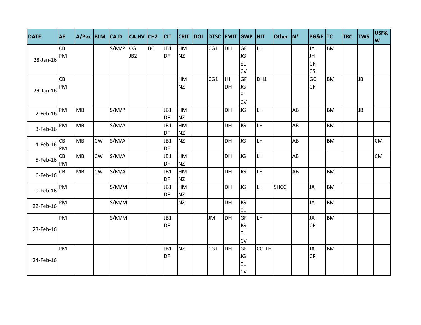| <b>DATE</b> | <b>AE</b> | A/Pvx BLM CA.D |           |       | CA.HV CH2       |           | C   | <b>CRIT DOI</b> |     |           | DTSC FMIT GWP HIT |           | Other N*    |    | <b>PG&amp;E TC</b>     |           | <b>TRC</b> | <b>TWS</b> | USF&<br>W |
|-------------|-----------|----------------|-----------|-------|-----------------|-----------|-----|-----------------|-----|-----------|-------------------|-----------|-------------|----|------------------------|-----------|------------|------------|-----------|
|             | CB        |                |           | S/M/P | CG              | <b>BC</b> | JB1 | HM              | CG1 | <b>DH</b> | GF                | LH.       |             |    | <b>JA</b>              | <b>BM</b> |            |            |           |
| 28-Jan-16   | PM        |                |           |       | JB <sub>2</sub> |           | DF  | <b>NZ</b>       |     |           | JG                |           |             |    | JH                     |           |            |            |           |
|             |           |                |           |       |                 |           |     |                 |     |           | <b>EL</b>         |           |             |    | <b>CR</b>              |           |            |            |           |
|             |           |                |           |       |                 |           |     |                 |     |           | CV                |           |             |    | $\overline{\text{CS}}$ |           |            |            |           |
|             | CB        |                |           |       |                 |           |     | HM              | CG1 | JH        | GF                | DH1       |             |    | GC                     | <b>BM</b> |            | <b>JB</b>  |           |
| 29-Jan-16   | PM        |                |           |       |                 |           |     | <b>NZ</b>       |     | DH        | JG                |           |             |    | <b>CR</b>              |           |            |            |           |
|             |           |                |           |       |                 |           |     |                 |     |           | <b>EL</b>         |           |             |    |                        |           |            |            |           |
|             |           |                |           |       |                 |           |     |                 |     |           | CV                |           |             |    |                        |           |            |            |           |
| $2$ -Feb-16 | PM        | <b>MB</b>      |           | S/M/P |                 |           | JB1 | <b>HM</b>       |     | DH        | JG                | <b>LH</b> |             | AB |                        | <b>BM</b> |            | <b>JB</b>  |           |
|             |           |                |           |       |                 |           | DF  | <b>NZ</b>       |     |           |                   |           |             |    |                        |           |            |            |           |
| $3$ -Feb-16 | PM        | MB             |           | S/M/A |                 |           | JB1 | HM              |     | <b>DH</b> | JG                | LH.       |             | AB |                        | <b>BM</b> |            |            |           |
|             |           |                |           |       |                 |           | DF  | <b>NZ</b>       |     |           |                   |           |             |    |                        |           |            |            |           |
| 4-Feb-16    | CB        | MB             | <b>CW</b> | S/M/A |                 |           | JB1 | <b>NZ</b>       |     | DH        | JG                | LH.       |             | AB |                        | <b>BM</b> |            |            | <b>CM</b> |
|             | PM        |                |           |       |                 |           | DF  |                 |     |           |                   |           |             |    |                        |           |            |            |           |
| 5-Feb-16    | CB        | MB             | CW        | S/M/A |                 |           | JB1 | <b>HM</b>       |     | <b>DH</b> | JG                | LH.       |             | AB |                        |           |            |            | <b>CM</b> |
|             | PM        |                |           |       |                 |           | DF  | <b>NZ</b>       |     |           |                   |           |             |    |                        |           |            |            |           |
| $6$ -Feb-16 | CB        | MB             | <b>CW</b> | S/M/A |                 |           | JB1 | HM              |     | <b>DH</b> | JG                | LH.       |             | AB |                        | <b>BM</b> |            |            |           |
|             |           |                |           |       |                 |           | DF  | <b>NZ</b>       |     |           |                   |           |             |    |                        |           |            |            |           |
| 9-Feb-16    | PM        |                |           | S/M/M |                 |           | JB1 | <b>HM</b>       |     | DH        | JG                | LH        | <b>SHCC</b> |    | <b>JA</b>              | <b>BM</b> |            |            |           |
|             |           |                |           |       |                 |           | DF  | <b>NZ</b>       |     |           |                   |           |             |    |                        |           |            |            |           |
| 22-Feb-16   | PM        |                |           | S/M/M |                 |           |     | <b>NZ</b>       |     | DH        | JG                |           |             |    | <b>JA</b>              | <b>BM</b> |            |            |           |
|             |           |                |           |       |                 |           |     |                 |     |           | EL.               |           |             |    |                        |           |            |            |           |
|             | PM        |                |           | S/M/M |                 |           | JB1 |                 | JM  | <b>DH</b> | GF                | LH.       |             |    | <b>JA</b>              | <b>BM</b> |            |            |           |
| 23-Feb-16   |           |                |           |       |                 |           | DF  |                 |     |           | JG                |           |             |    | <b>CR</b>              |           |            |            |           |
|             |           |                |           |       |                 |           |     |                 |     |           | <b>EL</b>         |           |             |    |                        |           |            |            |           |
|             |           |                |           |       |                 |           |     |                 |     |           | CV                |           |             |    |                        |           |            |            |           |
|             | PM        |                |           |       |                 |           | JB1 | <b>NZ</b>       | CG1 | <b>DH</b> | GF                | CC LH     |             |    | <b>JA</b>              | <b>BM</b> |            |            |           |
|             |           |                |           |       |                 |           | DF  |                 |     |           | JG                |           |             |    | <b>CR</b>              |           |            |            |           |
| 24-Feb-16   |           |                |           |       |                 |           |     |                 |     |           | EL                |           |             |    |                        |           |            |            |           |
|             |           |                |           |       |                 |           |     |                 |     |           | <b>CV</b>         |           |             |    |                        |           |            |            |           |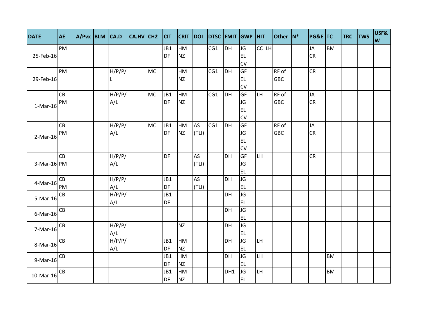| <b>DATE</b> | <b>AE</b> | $A/Pvx$ BLM $CA.D$ |        | $ CA.HV CH2$ $ CIT$ |           |           |           |           | CRIT DOI DTSC FMIT GWP HIT |     |                 |       | Other N*   | <b>PG&amp;E TC</b> |           | <b>TRC</b> | <b>TWS</b> | USF&<br>W |
|-------------|-----------|--------------------|--------|---------------------|-----------|-----------|-----------|-----------|----------------------------|-----|-----------------|-------|------------|--------------------|-----------|------------|------------|-----------|
|             | PM        |                    |        |                     |           | JB1       | HM        |           | CG1                        | DH  | JG              | CC LH |            | <b>JA</b>          | <b>BM</b> |            |            |           |
| 25-Feb-16   |           |                    |        |                     |           | <b>DF</b> | <b>NZ</b> |           |                            |     | <b>EL</b>       |       |            | <b>CR</b>          |           |            |            |           |
|             |           |                    |        |                     |           |           |           |           |                            |     | CV              |       |            |                    |           |            |            |           |
|             | PM        |                    | H/P/P/ |                     | <b>MC</b> |           | HM        |           | CG1                        | DH  | GF              |       | RF of      | <b>CR</b>          |           |            |            |           |
| 29-Feb-16   |           |                    |        |                     |           |           | <b>NZ</b> |           |                            |     | EL.             |       | <b>GBC</b> |                    |           |            |            |           |
|             |           |                    |        |                     |           |           |           |           |                            |     | CV              |       |            |                    |           |            |            |           |
|             | CB        |                    | H/P/P/ |                     | <b>MC</b> | JB1       | HM        |           | CG1                        | DH  | <b>GF</b>       | LH.   | RF of      | <b>JA</b>          |           |            |            |           |
| $1-Mar-16$  | PM        |                    | A/L    |                     |           | <b>DF</b> | <b>NZ</b> |           |                            |     | JG              |       | <b>GBC</b> | <b>CR</b>          |           |            |            |           |
|             |           |                    |        |                     |           |           |           |           |                            |     | EL.             |       |            |                    |           |            |            |           |
|             |           |                    |        |                     |           |           |           |           |                            |     | <b>CV</b>       |       |            |                    |           |            |            |           |
|             | CB        |                    | H/P/P/ |                     | <b>MC</b> | JB1       | HM        | <b>AS</b> | CG1                        | DH  | GF              |       | RF of      | <b>JA</b>          |           |            |            |           |
| $2-Mar-16$  | PM        |                    | A/L    |                     |           | <b>DF</b> | <b>NZ</b> | (TLI)     |                            |     | <b>JG</b>       |       | <b>GBC</b> | <b>CR</b>          |           |            |            |           |
|             |           |                    |        |                     |           |           |           |           |                            |     | EL.             |       |            |                    |           |            |            |           |
|             |           |                    |        |                     |           |           |           |           |                            |     | <b>CV</b>       |       |            |                    |           |            |            |           |
|             | CB        |                    | H/P/P/ |                     |           | <b>DF</b> |           | <b>AS</b> |                            | DH  | <b>GF</b>       | LH.   |            | <b>CR</b>          |           |            |            |           |
| 3-Mar-16 PM |           |                    | A/L    |                     |           |           |           | (TLI)     |                            |     | JG              |       |            |                    |           |            |            |           |
|             |           |                    |        |                     |           |           |           |           |                            |     | <b>EL</b>       |       |            |                    |           |            |            |           |
| 4-Mar-16    | CB        |                    | H/P/P/ |                     |           | JB1       |           | <b>AS</b> |                            | DH  | JG              |       |            |                    |           |            |            |           |
|             | PM        |                    | A/L    |                     |           | <b>DF</b> |           | (TLI)     |                            |     | <b>EL</b>       |       |            |                    |           |            |            |           |
| $5-Mar-16$  | CB        |                    | H/P/P/ |                     |           | JB1       |           |           |                            | DH  | JG              |       |            |                    |           |            |            |           |
|             |           |                    | A/L    |                     |           | DF        |           |           |                            | DH  | <b>EL</b><br>JG |       |            |                    |           |            |            |           |
| $6$ -Mar-16 | CB        |                    |        |                     |           |           |           |           |                            |     | <b>EL</b>       |       |            |                    |           |            |            |           |
|             | CB        |                    | H/P/P/ |                     |           |           | <b>NZ</b> |           |                            | DH  | JG              |       |            |                    |           |            |            |           |
| $7-Mar-16$  |           |                    | A/L    |                     |           |           |           |           |                            |     | <b>EL</b>       |       |            |                    |           |            |            |           |
|             | CB        |                    | H/P/P/ |                     |           | JB1       | HM        |           |                            | DH  | JG              | LH    |            |                    |           |            |            |           |
| 8-Mar-16    |           |                    | A/L    |                     |           | DF        | <b>NZ</b> |           |                            |     | <b>EL</b>       |       |            |                    |           |            |            |           |
|             | CB        |                    |        |                     |           | JB1       | HM        |           |                            | DH  | JG              | LH.   |            |                    | <b>BM</b> |            |            |           |
| $9-Mar-16$  |           |                    |        |                     |           | DF        | <b>NZ</b> |           |                            |     | <b>EL</b>       |       |            |                    |           |            |            |           |
|             | СB        |                    |        |                     |           | JB1       | HM        |           |                            | DH1 | JG              | LH.   |            |                    | <b>BM</b> |            |            |           |
| 10-Mar-16   |           |                    |        |                     |           | <b>DF</b> | <b>NZ</b> |           |                            |     | EL              |       |            |                    |           |            |            |           |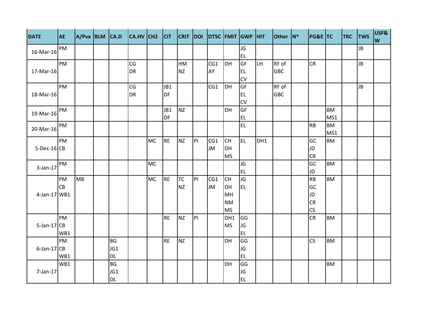| <b>DATE</b>      | <b>AE</b> |           |           | $A/Pvx$ BLM $ CA.D$ $ CA.HV CH2$ $ CH$ $ CHT DOI$ $ DTSC FMIT GWP HIT$ |           |           |           |    |           |           |           |     | Other N*   | <b>PG&amp;E TC</b> |           | <b>TRC</b> | <b>TWS</b> | USF&<br>W |
|------------------|-----------|-----------|-----------|------------------------------------------------------------------------|-----------|-----------|-----------|----|-----------|-----------|-----------|-----|------------|--------------------|-----------|------------|------------|-----------|
| 16-Mar-16        | PM        |           |           |                                                                        |           |           |           |    |           |           | JG        |     |            |                    |           |            | JB         |           |
|                  |           |           |           |                                                                        |           |           |           |    |           |           | <b>EL</b> |     |            |                    |           |            |            |           |
|                  | PM        |           |           | CG                                                                     |           |           | HM        |    | CG1       | <b>DH</b> | GF        | LH. | RF of      | <b>CR</b>          |           |            | <b>JB</b>  |           |
| 17-Mar-16        |           |           |           | <b>DR</b>                                                              |           |           | <b>NZ</b> |    | AY        |           | <b>EL</b> |     | <b>GBC</b> |                    |           |            |            |           |
|                  |           |           |           |                                                                        |           |           |           |    |           |           | CV        |     |            |                    |           |            |            |           |
|                  | PM        |           |           | CG                                                                     |           | JB1       |           |    | CG1       | DH        | GF        |     | RF of      |                    |           |            | JB         |           |
| 18-Mar-16        |           |           |           | <b>DR</b>                                                              |           | <b>DF</b> |           |    |           |           | <b>EL</b> |     | <b>GBC</b> |                    |           |            |            |           |
|                  |           |           |           |                                                                        |           |           |           |    |           |           | CV        |     |            |                    |           |            |            |           |
| 19-Mar-16        | PM        |           |           |                                                                        |           | JB1       | <b>NZ</b> |    |           | <b>DH</b> | GF        |     |            |                    | <b>BM</b> |            |            |           |
|                  |           |           |           |                                                                        |           | <b>DF</b> |           |    |           |           | <b>EL</b> |     |            |                    | MS1       |            |            |           |
| 20-Mar-16        | PM        |           |           |                                                                        |           |           |           |    |           |           | <b>EL</b> |     |            | <b>RB</b>          | <b>BM</b> |            |            |           |
|                  |           |           |           |                                                                        |           |           |           |    |           |           |           |     |            |                    | MS1       |            |            |           |
|                  | PM        |           |           |                                                                        | <b>MC</b> | RE        | <b>NZ</b> | P  | CG1       | <b>CH</b> | <b>EL</b> | DH1 |            | GC                 | <b>BM</b> |            |            |           |
| $5-Dec-16$ CB    |           |           |           |                                                                        |           |           |           |    | <b>JM</b> | <b>DH</b> |           |     |            | <b>JD</b>          |           |            |            |           |
|                  |           |           |           |                                                                        |           |           |           |    |           | <b>MS</b> |           |     |            | <b>CR</b>          |           |            |            |           |
| 3-Jan-17         | PM        |           |           |                                                                        | <b>MC</b> |           |           |    |           |           | JG        |     |            | GC                 | <b>BM</b> |            |            |           |
|                  |           |           |           |                                                                        |           |           |           |    |           |           | <b>EL</b> |     |            | <b>JD</b>          |           |            |            |           |
|                  | PM        | <b>MB</b> |           |                                                                        | <b>MC</b> | RE        | <b>TC</b> | PI | CG1       | <b>CH</b> | JG        |     |            | RB                 | <b>BM</b> |            |            |           |
|                  | <b>CB</b> |           |           |                                                                        |           |           | <b>NZ</b> |    | <b>JM</b> | DH        | <b>EL</b> |     |            | GC                 |           |            |            |           |
| 4-Jan-17 WB1     |           |           |           |                                                                        |           |           |           |    |           | MH        |           |     |            | JD                 |           |            |            |           |
|                  |           |           |           |                                                                        |           |           |           |    |           | <b>NM</b> |           |     |            | <b>CR</b>          |           |            |            |           |
|                  |           |           |           |                                                                        |           |           |           |    |           | <b>MS</b> |           |     |            | CS                 |           |            |            |           |
|                  | PM        |           |           |                                                                        |           | <b>RE</b> | <b>NZ</b> | P  |           | DH1       | GG        |     |            | CR                 | <b>BM</b> |            |            |           |
| $5$ -Jan-17 $CB$ |           |           |           |                                                                        |           |           |           |    |           | <b>MS</b> | <b>JG</b> |     |            |                    |           |            |            |           |
|                  | WB1       |           |           |                                                                        |           |           |           |    |           |           | <b>EL</b> |     |            |                    |           |            |            |           |
|                  | PM        |           | <b>BG</b> |                                                                        |           | <b>RE</b> | <b>NZ</b> |    |           | <b>DH</b> | GG        |     |            | CS                 | <b>BM</b> |            |            |           |
| $6$ -Jan-17 $CB$ |           |           | JG1       |                                                                        |           |           |           |    |           |           | JG        |     |            |                    |           |            |            |           |
|                  | WB1       |           | <b>DL</b> |                                                                        |           |           |           |    |           |           | <b>EL</b> |     |            |                    |           |            |            |           |
|                  | WB1       |           | <b>BG</b> |                                                                        |           |           |           |    |           | DH        | GG        |     |            |                    | <b>BM</b> |            |            |           |
| 7-Jan-17         |           |           | JG1       |                                                                        |           |           |           |    |           |           | JG        |     |            |                    |           |            |            |           |
|                  |           |           | <b>DL</b> |                                                                        |           |           |           |    |           |           | <b>EL</b> |     |            |                    |           |            |            |           |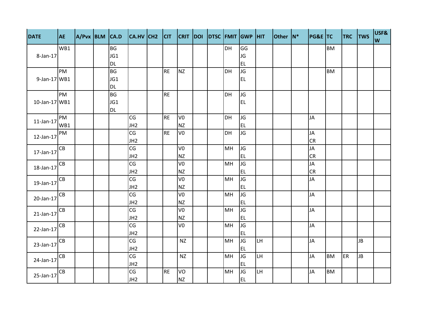| <b>DATE</b>                              | <b>AE</b> | $A/Pvx$ BLM $CA.D$ |           | $ CA.HV CH2$ $ CIT $ $ CRIT DOI DTSC FMIT GWP HIT$ |           |                |  |           |           |     | Other N* | <b>PG&amp;E TC</b> |           | <b>TRC</b> TWS |           | USF&<br>W |
|------------------------------------------|-----------|--------------------|-----------|----------------------------------------------------|-----------|----------------|--|-----------|-----------|-----|----------|--------------------|-----------|----------------|-----------|-----------|
|                                          | WB1       |                    | <b>BG</b> |                                                    |           |                |  | <b>DH</b> | GG        |     |          |                    | <b>BM</b> |                |           |           |
| 8-Jan-17                                 |           |                    | JG1       |                                                    |           |                |  |           | JG        |     |          |                    |           |                |           |           |
|                                          |           |                    | <b>DL</b> |                                                    |           |                |  |           | <b>EL</b> |     |          |                    |           |                |           |           |
|                                          | PM        |                    | <b>BG</b> |                                                    | <b>RE</b> | <b>NZ</b>      |  | DH        | JG        |     |          |                    | <b>BM</b> |                |           |           |
| 9-Jan-17 WB1                             |           |                    | JG1       |                                                    |           |                |  |           | <b>EL</b> |     |          |                    |           |                |           |           |
|                                          |           |                    | <b>DL</b> |                                                    |           |                |  |           |           |     |          |                    |           |                |           |           |
|                                          | PM        |                    | <b>BG</b> |                                                    | <b>RE</b> |                |  | DH        | JG        |     |          |                    |           |                |           |           |
| $10$ -Jan-17 WB1                         |           |                    | JG1       |                                                    |           |                |  |           | <b>EL</b> |     |          |                    |           |                |           |           |
|                                          |           |                    | <b>DL</b> |                                                    |           |                |  |           |           |     |          |                    |           |                |           |           |
| 11-Jan-17 $\bigg _{W\underline{B1}}^{W}$ | PM        |                    |           | CG                                                 | <b>RE</b> | V <sub>0</sub> |  | DH        | JG        |     |          | <b>JA</b>          |           |                |           |           |
|                                          |           |                    |           | JH <sub>2</sub>                                    |           | <b>NZ</b>      |  |           | <b>EL</b> |     |          |                    |           |                |           |           |
| $12$ -Jan- $17$                          | PM        |                    |           | $\overline{\text{CG}}$                             | <b>RE</b> | V <sub>0</sub> |  | <b>DH</b> | <b>JG</b> |     |          | JA                 |           |                |           |           |
|                                          |           |                    |           | JH <sub>2</sub>                                    |           |                |  |           |           |     |          | <b>CR</b>          |           |                |           |           |
| 17-Jan-17                                | CB        |                    |           | $\overline{\text{CG}}$                             |           | V <sub>0</sub> |  | MH        | JG        |     |          | JA                 |           |                |           |           |
|                                          |           |                    |           | JH <sub>2</sub>                                    |           | <b>NZ</b>      |  |           | <b>EL</b> |     |          | <b>CR</b>          |           |                |           |           |
| 18-Jan-17                                | CB        |                    |           | CG                                                 |           | V <sub>0</sub> |  | MH        | JG        |     |          | JA                 |           |                |           |           |
|                                          |           |                    |           | JH <sub>2</sub>                                    |           | NZ             |  |           | <b>EL</b> |     |          | <b>CR</b>          |           |                |           |           |
| $19$ -Jan-17 $\overline{CB}$             |           |                    |           | CG                                                 |           | V <sub>0</sub> |  | MH        | JG        |     |          | JA                 |           |                |           |           |
|                                          |           |                    |           | JH <sub>2</sub>                                    |           | <b>NZ</b>      |  |           | <b>EL</b> |     |          |                    |           |                |           |           |
| $20$ -Jan-17 $\overline{CB}$             |           |                    |           | CG                                                 |           | V <sub>0</sub> |  | MH        | JG        |     |          | <b>JA</b>          |           |                |           |           |
|                                          |           |                    |           | JH <sub>2</sub>                                    |           | <b>NZ</b>      |  |           | <b>EL</b> |     |          |                    |           |                |           |           |
| $21$ -Jan-17 $\overline{CB}$             |           |                    |           | CG                                                 |           | V <sub>0</sub> |  | MH        | JG        |     |          | <b>JA</b>          |           |                |           |           |
|                                          |           |                    |           | JH <sub>2</sub>                                    |           | <b>NZ</b>      |  |           | <b>EL</b> |     |          |                    |           |                |           |           |
| $22$ -Jan-17 $\overline{CB}$             |           |                    |           | CG                                                 |           | V <sub>0</sub> |  | MH        | JG        |     |          | <b>JA</b>          |           |                |           |           |
|                                          |           |                    |           | JH <sub>2</sub>                                    |           |                |  |           | <b>EL</b> |     |          |                    |           |                |           |           |
| $23$ -Jan-17 $\overline{CB}$             |           |                    |           | CG                                                 |           | <b>NZ</b>      |  | MH        | JG        | LH. |          | <b>JA</b>          |           |                | <b>JB</b> |           |
|                                          |           |                    |           | JH <sub>2</sub>                                    |           |                |  |           | EL.       |     |          |                    |           |                |           |           |
| $24$ -Jan-17                             | CB        |                    |           | CG                                                 |           | <b>NZ</b>      |  | MH        | JG        | LH  |          | JA                 | <b>BM</b> | ER             | B         |           |
|                                          |           |                    |           | JH <sub>2</sub>                                    |           |                |  |           | <b>EL</b> |     |          |                    |           |                |           |           |
| 25-Jan-17                                | CB        |                    |           | $\overline{\text{CG}}$                             | <b>RE</b> | VO             |  | MH        | JG        | LH  |          | <b>JA</b>          | <b>BM</b> |                |           |           |
|                                          |           |                    |           | JH <sub>2</sub>                                    |           | <b>NZ</b>      |  |           | <b>EL</b> |     |          |                    |           |                |           |           |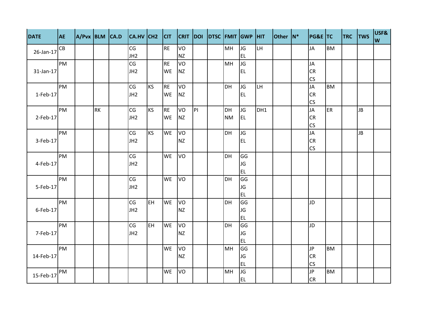| <b>DATE</b>  | <b>AE</b> |           | $A/Pvx$ BLM $CA.D$ $CA.HV$ $CH2$ $CIT$ |           |           |           |   | CRIT DOI DTSC FMIT GWP HIT |           |           |     | Other N* | <b>PG&amp;E TC</b> |           | <b>TRC</b> TWS |           | USF&<br>W |
|--------------|-----------|-----------|----------------------------------------|-----------|-----------|-----------|---|----------------------------|-----------|-----------|-----|----------|--------------------|-----------|----------------|-----------|-----------|
| 26-Jan-17    | CB        |           | CG                                     |           | <b>RE</b> | VO        |   |                            | MH        | JG        | LH. |          | <b>JA</b>          | <b>BM</b> |                |           |           |
|              |           |           | JH <sub>2</sub>                        |           |           | <b>NZ</b> |   |                            |           | <b>EL</b> |     |          |                    |           |                |           |           |
|              | PM        |           | CG                                     |           | <b>RE</b> | VO        |   |                            | MH        | JG        |     |          | <b>JA</b>          |           |                |           |           |
| $31$ -Jan-17 |           |           | JH <sub>2</sub>                        |           | <b>WE</b> | <b>NZ</b> |   |                            |           | EL.       |     |          | <b>CR</b>          |           |                |           |           |
|              |           |           |                                        |           |           |           |   |                            |           |           |     |          | <b>CS</b>          |           |                |           |           |
|              | PM        |           | CG                                     | <b>KS</b> | <b>RE</b> | VO        |   |                            | <b>DH</b> | JG        | LH  |          | JA                 | <b>BM</b> |                |           |           |
| $1$ -Feb-17  |           |           | JH <sub>2</sub>                        |           | WE        | <b>NZ</b> |   |                            |           | <b>EL</b> |     |          | <b>CR</b>          |           |                |           |           |
|              |           |           |                                        |           |           |           |   |                            |           |           |     |          | <b>CS</b>          |           |                |           |           |
|              | PM        | <b>RK</b> | CG                                     | <b>KS</b> | <b>RE</b> | VO        | P |                            | <b>DH</b> | JG        | DH1 |          | <b>JA</b>          | ER        |                | JB        |           |
| $2$ -Feb-17  |           |           | JH <sub>2</sub>                        |           | <b>WE</b> | <b>NZ</b> |   |                            | <b>NM</b> | EL        |     |          | <b>CR</b>          |           |                |           |           |
|              |           |           |                                        |           |           |           |   |                            |           |           |     |          | <b>CS</b>          |           |                |           |           |
|              | PM        |           | CG                                     | <b>KS</b> | <b>WE</b> | <b>VO</b> |   |                            | <b>DH</b> | JG        |     |          | <b>JA</b>          |           |                | <b>JB</b> |           |
| $3$ -Feb-17  |           |           | JH <sub>2</sub>                        |           |           | <b>NZ</b> |   |                            |           | <b>EL</b> |     |          | <b>CR</b>          |           |                |           |           |
|              |           |           |                                        |           |           |           |   |                            |           |           |     |          | CS                 |           |                |           |           |
|              | PM        |           | CG                                     |           | <b>WE</b> | VO        |   |                            | <b>DH</b> | GG        |     |          |                    |           |                |           |           |
| $4$ -Feb-17  |           |           | JH <sub>2</sub>                        |           |           |           |   |                            |           | JG        |     |          |                    |           |                |           |           |
|              |           |           |                                        |           |           |           |   |                            |           | EL.       |     |          |                    |           |                |           |           |
|              | PM        |           | CG                                     |           | WE        | VO        |   |                            | <b>DH</b> | GG        |     |          |                    |           |                |           |           |
| $5$ -Feb-17  |           |           | JH <sub>2</sub>                        |           |           |           |   |                            |           | JG        |     |          |                    |           |                |           |           |
|              |           |           |                                        |           |           |           |   |                            |           | <b>EL</b> |     |          |                    |           |                |           |           |
|              | PM        |           | CG                                     | EH.       | <b>WE</b> | VO        |   |                            | DH        | GG        |     |          | JD                 |           |                |           |           |
| $6$ -Feb-17  |           |           | JH <sub>2</sub>                        |           |           | <b>NZ</b> |   |                            |           | JG        |     |          |                    |           |                |           |           |
|              |           |           |                                        |           |           |           |   |                            |           | <b>EL</b> |     |          |                    |           |                |           |           |
|              | PM        |           | CG                                     | <b>EH</b> | WE        | VO        |   |                            | DH        | GG        |     |          | JD                 |           |                |           |           |
| $7$ -Feb-17  |           |           | JH <sub>2</sub>                        |           |           | <b>NZ</b> |   |                            |           | JG        |     |          |                    |           |                |           |           |
|              |           |           |                                        |           |           |           |   |                            |           | EL.       |     |          |                    |           |                |           |           |
|              | PM        |           |                                        |           | WE        | VO        |   |                            | <b>MH</b> | GG        |     |          | <b>JP</b>          | <b>BM</b> |                |           |           |
| 14-Feb-17    |           |           |                                        |           |           | <b>NZ</b> |   |                            |           | JG        |     |          | <b>CR</b>          |           |                |           |           |
|              |           |           |                                        |           |           |           |   |                            |           | EL.       |     |          | <b>CS</b>          |           |                |           |           |
|              | PM        |           |                                        |           | <b>WE</b> | VO        |   |                            | MH        | JG        |     |          | JP.                | <b>BM</b> |                |           |           |
| 15-Feb-17    |           |           |                                        |           |           |           |   |                            |           | EL        |     |          | <b>CR</b>          |           |                |           |           |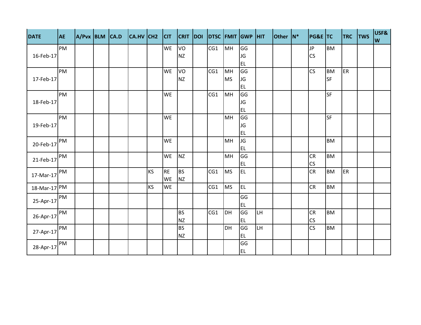| <b>DATE</b>  | <b>AE</b> | $A/Pvx$ BLM $CA.D$ |  | CA.HV CH2 |           | C         | <b>CRIT</b> | <b>DOI</b> |     |           | DTSC FMIT GWP HIT |           | <b>Other</b> | $ N^*$ | <b>PG&amp;E TC</b>     |           | <b>TRC</b> | <b>TWS</b> | USF&<br>W |
|--------------|-----------|--------------------|--|-----------|-----------|-----------|-------------|------------|-----|-----------|-------------------|-----------|--------------|--------|------------------------|-----------|------------|------------|-----------|
|              | PM        |                    |  |           |           | <b>WE</b> | VO          |            | CG1 | MH        | GG                |           |              |        | <b>JP</b>              | <b>BM</b> |            |            |           |
| 16-Feb-17    |           |                    |  |           |           |           | <b>NZ</b>   |            |     |           | JG                |           |              |        | <b>CS</b>              |           |            |            |           |
|              |           |                    |  |           |           |           |             |            |     |           | <b>EL</b>         |           |              |        |                        |           |            |            |           |
|              | PM        |                    |  |           |           | <b>WE</b> | VO          |            | CG1 | MH        | GG                |           |              |        | <b>CS</b>              | <b>BM</b> | ER         |            |           |
| 17-Feb-17    |           |                    |  |           |           |           | <b>NZ</b>   |            |     | <b>MS</b> | JG                |           |              |        |                        | <b>SF</b> |            |            |           |
|              |           |                    |  |           |           |           |             |            |     |           | <b>EL</b>         |           |              |        |                        |           |            |            |           |
|              | PM        |                    |  |           |           | <b>WE</b> |             |            | CG1 | MH        | GG                |           |              |        |                        | <b>SF</b> |            |            |           |
| 18-Feb-17    |           |                    |  |           |           |           |             |            |     |           | JG                |           |              |        |                        |           |            |            |           |
|              |           |                    |  |           |           |           |             |            |     |           | EL.               |           |              |        |                        |           |            |            |           |
|              | PM        |                    |  |           |           | <b>WE</b> |             |            |     | MH        | GG                |           |              |        |                        | <b>SF</b> |            |            |           |
| 19-Feb-17    |           |                    |  |           |           |           |             |            |     |           | JG                |           |              |        |                        |           |            |            |           |
|              |           |                    |  |           |           |           |             |            |     |           | <b>EL</b>         |           |              |        |                        |           |            |            |           |
| 20-Feb-17    | PM        |                    |  |           |           | <b>WE</b> |             |            |     | MH        | JG                |           |              |        |                        | <b>BM</b> |            |            |           |
|              |           |                    |  |           |           |           |             |            |     |           | EL                |           |              |        |                        |           |            |            |           |
| 21-Feb-17    | PM        |                    |  |           |           | <b>WE</b> | <b>NZ</b>   |            |     | MH        | GG                |           |              |        | <b>CR</b>              | <b>BM</b> |            |            |           |
|              |           |                    |  |           |           |           |             |            |     |           | EL.               |           |              |        | CS                     |           |            |            |           |
| 17-Mar-17    | PM        |                    |  |           | <b>KS</b> | <b>RE</b> | <b>BS</b>   |            | CG1 | <b>MS</b> | <b>EL</b>         |           |              |        | <b>CR</b>              | <b>BM</b> | ER         |            |           |
|              |           |                    |  |           |           | <b>WE</b> | <b>NZ</b>   |            |     |           |                   |           |              |        |                        |           |            |            |           |
| 18-Mar-17 PM |           |                    |  |           | <b>KS</b> | <b>WE</b> |             |            | CG1 | <b>MS</b> | EL.               |           |              |        | <b>CR</b>              | <b>BM</b> |            |            |           |
|              | PM        |                    |  |           |           |           |             |            |     |           | GG                |           |              |        |                        |           |            |            |           |
| 25-Apr-17    |           |                    |  |           |           |           |             |            |     |           | <b>EL</b>         |           |              |        |                        |           |            |            |           |
|              | PM        |                    |  |           |           |           | <b>BS</b>   |            | CG1 | DH        | GG                | <b>LH</b> |              |        | <b>CR</b>              | <b>BM</b> |            |            |           |
| 26-Apr-17    |           |                    |  |           |           |           | <b>NZ</b>   |            |     |           | EL.               |           |              |        | CS                     |           |            |            |           |
|              | PM        |                    |  |           |           |           | <b>BS</b>   |            |     | DH        | GG                | <b>LH</b> |              |        | $\overline{\text{CS}}$ | <b>BM</b> |            |            |           |
| 27-Apr-17    |           |                    |  |           |           |           | <b>NZ</b>   |            |     |           | EL.               |           |              |        |                        |           |            |            |           |
|              | PM        |                    |  |           |           |           |             |            |     |           | GG                |           |              |        |                        |           |            |            |           |
| 28-Apr-17    |           |                    |  |           |           |           |             |            |     |           | <b>EL</b>         |           |              |        |                        |           |            |            |           |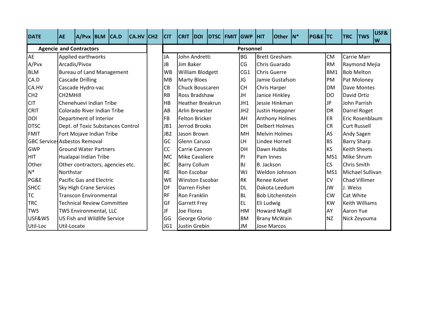| <b>DATE</b>                          | <b>AE</b>   | $A/Pvx$ BLM $CA.D$                  |                                   | CA.HV CH2 | <b>CIT</b>      | <b>CRIT</b>             | <b>DOI</b> | DTSC FMIT GWP |                 | <b>HIT</b>          | <b>Other</b>            | $ N^*$ | <b>PG&amp;E TC</b> |                 | <b>TRC</b>         | <b>TWS</b>            | USF&<br>W |
|--------------------------------------|-------------|-------------------------------------|-----------------------------------|-----------|-----------------|-------------------------|------------|---------------|-----------------|---------------------|-------------------------|--------|--------------------|-----------------|--------------------|-----------------------|-----------|
| <b>Agencie and Contractors</b>       |             |                                     |                                   |           |                 |                         |            |               | Personnel       |                     |                         |        |                    |                 |                    |                       |           |
| AE                                   |             | Applied earthworks                  |                                   |           | JA              | John Andretti           |            |               | <b>BG</b>       |                     | <b>Brett Gresham</b>    |        |                    | <b>CM</b>       | <b>Carrie Marr</b> |                       |           |
| A/Pvx                                |             | Arcadis/Pivox                       |                                   |           | <b>JB</b>       | Jim Baker               |            |               | CG              |                     | Chris Guarado           |        |                    | <b>RM</b>       |                    | Raymond Mejia         |           |
| <b>BLM</b>                           |             |                                     | <b>Bureau of Land Management</b>  |           | <b>WB</b>       | <b>William Blodgett</b> |            |               | CG1             | <b>Chris Guerre</b> |                         |        |                    | BM <sub>1</sub> |                    | <b>Bob Melton</b>     |           |
| CA.D                                 |             | <b>Cascade Drilling</b>             |                                   |           | <b>MB</b>       | <b>Marty Bloes</b>      |            |               | JG              |                     | Jamie Gustafson         |        |                    | PM              |                    | Pat Moloney           |           |
| CA.HV                                |             | Cascade Hydro-vac                   |                                   |           | CB              | Chuck Bouscaren         |            |               | <b>CH</b>       | Chris Harper        |                         |        |                    | <b>DM</b>       |                    | Dave Montes           |           |
| CH <sub>2</sub>                      | CH2MHill    |                                     |                                   |           | <b>RB</b>       | Ross Bradshaw           |            |               | <b>JH</b>       |                     | Janice Hinkley          |        |                    | DO              | David Ortiz        |                       |           |
| <b>CIT</b>                           |             | Chenehuevi Indian Tribe             |                                   |           | HB              | <b>Heather Breakrun</b> |            |               | JH1             |                     | Jessie Hinkman          |        |                    | <b>JP</b>       |                    | John Parrish          |           |
| <b>CRIT</b>                          |             | Colorado River Indian Tribe         |                                   |           | AB              | Arlin Brewster          |            |               | JH <sub>2</sub> |                     | Justin Hoeppner         |        |                    | <b>DR</b>       |                    | Darrel Roget          |           |
| <b>DOI</b>                           |             | Department of Interior              |                                   |           | FB              | <b>Felton Bricker</b>   |            |               | AH              |                     | <b>Anthony Holmes</b>   |        |                    | <b>ER</b>       |                    | Eric Rosenblaum       |           |
| <b>DTSC</b>                          |             |                                     | Dept. of Toxic Substances Control |           | JB1             | Jerrod Brooks           |            |               | <b>DH</b>       |                     | <b>Delbert Holmes</b>   |        |                    | <b>CR</b>       |                    | <b>Curt Russell</b>   |           |
| <b>FMIT</b>                          |             | Fort Mojave Indian Tribe            |                                   |           | JB <sub>2</sub> | Jason Brown             |            |               | MH              |                     | <b>Melvin Holmes</b>    |        |                    | <b>AS</b>       | Andy Sagen         |                       |           |
| <b>GBC Services Asbestos Removal</b> |             |                                     |                                   |           | GC              | Glenn Caruso            |            |               | LH              |                     | Lindee Hornell          |        |                    | <b>BS</b>       | <b>Barry Sharp</b> |                       |           |
| <b>GWP</b>                           |             | <b>Ground Water Partners</b>        |                                   |           | <b>CC</b>       | Carrie Cannon           |            |               | DH              | Dawn Hubbs          |                         |        |                    | <b>KS</b>       |                    | <b>Keith Sheets</b>   |           |
| <b>HIT</b>                           |             | Hualapai Indian Tribe               |                                   |           | <b>MC</b>       | <b>Mike Cavaliere</b>   |            |               | PI              | Pam Innes           |                         |        |                    | MS1             |                    | Mike Shrum            |           |
| Other                                |             |                                     | Other contractors, agencies etc.  |           | <b>BC</b>       | <b>Barry Collum</b>     |            |               | <b>BJ</b>       | <b>B.</b> Jackson   |                         |        |                    | <b>CS</b>       | <b>Chris Smith</b> |                       |           |
| $N^*$                                | Northstar   |                                     |                                   |           | <b>RE</b>       | Ron Escobar             |            |               | WJ              |                     | Weldon Johnson          |        |                    | MS1             |                    | Michael Sullivan      |           |
| PG&E                                 |             | <b>Pacific Gas and Electric</b>     |                                   |           | <b>WE</b>       | <b>Winston Escobar</b>  |            |               | <b>RK</b>       | <b>Renee Kolvet</b> |                         |        |                    | <b>CV</b>       |                    | <b>Chad Villimer</b>  |           |
| <b>SHCC</b>                          |             | <b>Sky High Crane Services</b>      |                                   |           | DF              | Darren Fisher           |            |               | <b>DL</b>       |                     | Dakota Leedum           |        |                    | JW              | J. Weiss           |                       |           |
| TC                                   |             | <b>Transcon Environmental</b>       |                                   |           | <b>RF</b>       | <b>Ron Franklin</b>     |            |               | <b>BL</b>       |                     | <b>Bob Litchenstein</b> |        |                    | <b>CW</b>       | Cat White          |                       |           |
| <b>TRC</b>                           |             |                                     | <b>Technical Review Committee</b> |           | GF              | <b>Garrett Frey</b>     |            |               | <b>EL</b>       | Eli Ludwig          |                         |        |                    | <b>KW</b>       |                    | <b>Keith Williams</b> |           |
| <b>TWS</b>                           |             | <b>TWS Environmental, LLC</b>       |                                   |           | JF              | Joe Flores              |            |               | <b>HM</b>       |                     | <b>Howard Magill</b>    |        |                    | AY              | Aaron Yue          |                       |           |
| USF&WS                               |             | <b>US Fish and Wildlife Service</b> |                                   |           | GG              | George Glorio           |            |               | <b>BM</b>       |                     | <b>Brany McWain</b>     |        |                    | <b>NZ</b>       |                    | Nick Zeyouma          |           |
| Util-Loc                             | Util-Locate |                                     |                                   |           | JG1             | Justin Grebin           |            |               | JM              | Jose Marcos         |                         |        |                    |                 |                    |                       |           |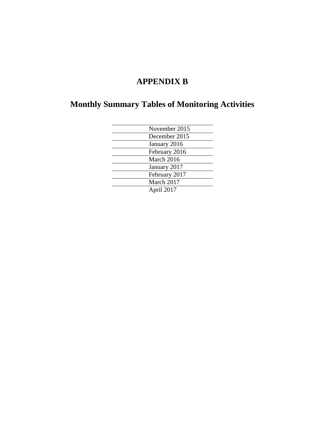# **APPENDIX B**

# **Monthly Summary Tables of Monitoring Activities**

| November 2015 |
|---------------|
| December 2015 |
| January 2016  |
| February 2016 |
| March 2016    |
| January 2017  |
| February 2017 |
| March 2017    |
| April 2017    |
|               |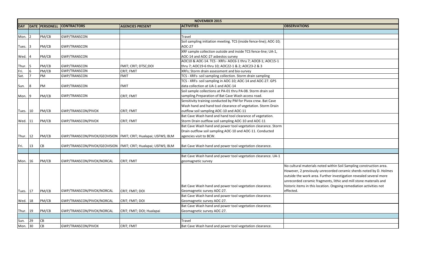|              |    |                       |                                                                 |                           | <b>NOVEMBER 2015</b>                                               |                     |
|--------------|----|-----------------------|-----------------------------------------------------------------|---------------------------|--------------------------------------------------------------------|---------------------|
| <b>DAY</b>   |    | <b>DATE PERSONELL</b> | <b>CONTRACTORS</b>                                              | <b>AGENCIES PRESENT</b>   | <b>ACTIVITIES</b>                                                  | <b>OBSERVATIONS</b> |
|              |    |                       |                                                                 |                           |                                                                    |                     |
| Mon. $ 2 $   |    | PM/CB                 | <b>GWP/TRANSCON</b>                                             |                           | Travel                                                             |                     |
|              |    |                       |                                                                 |                           | Soil sampling initiation meeting. TCS (inside fence-line); AOC-10; |                     |
| Tues. 3      |    | PM/CB                 | <b>GWP/TRANSCON</b>                                             |                           | <b>AOC-27</b>                                                      |                     |
|              |    |                       |                                                                 |                           | XRF sample collection outside and inside TCS fence-line; UA-1,     |                     |
| Wed. 4       |    | PM/CB                 | <b>GWP/TRANSCON</b>                                             |                           | AOC-14 and AOC-27 asbestos survey                                  |                     |
|              |    |                       |                                                                 |                           | AOC10 & AOC-14. TCS - XRFs- AOC6-1 thru 7; AOC8-1; AOC15-1         |                     |
| Thur. 5      |    | PM/CB                 | <b>GWP/TRANSCON</b>                                             | FMIT; CRIT; DTSC;DOI      | thru 7; AOC19-6 thru 10; AOC22-1 & 2; AOC23-2 & 3                  |                     |
| Fri.         | 6  | PM/CB                 | <b>GWP/TRANSCON</b>                                             | CRIT; FMIT                | XRFs; Storm drain assessment and bio-survey                        |                     |
| Sat.         | 17 | PM                    | <b>GWP/TRANSCON</b>                                             | <b>FMIT</b>               | TCS - XRFs- soil sampling collection. Storm drain sampling         |                     |
|              |    |                       |                                                                 |                           | TCS - XRFs- soil sampling in AOC-10; AOC-14 and AOC-27. GPS        |                     |
| Sun.         | 8  | PM                    | <b>GWP/TRANSCON</b>                                             | <b>FMIT</b>               | data collection at UA-1 and AOC-14                                 |                     |
|              |    |                       |                                                                 |                           | Soil sample collections at PA-01 thru PA-08. Storm drain soil      |                     |
| Mon. $ 9 $   |    | PM/CB                 | <b>GWP/TRANSCON</b>                                             | CRIT; FMIT                | sampling. Preparation of Bat Cave Wash access road.                |                     |
|              |    |                       |                                                                 |                           | Sensitivity training conducted by PM for Pivox crew. Bat Cave      |                     |
|              |    |                       |                                                                 |                           | Wash hand and hand tool clearance of vegetation. Storm Drain       |                     |
| Tues. 10     |    | PM/CB                 | GWP/TRANSCON/PIVOX                                              | CRIT; FMIT                | outflow soil sampling AOC-10 and AOC-11                            |                     |
|              |    |                       |                                                                 |                           | Bat Cave Wash hand and hand tool clearance of vegetation.          |                     |
| Wed. 11      |    | PM/CB                 | GWP/TRANSCON/PIVOX                                              | <b>CRIT; FMIT</b>         | Storm Drain outflow soil sampling AOC-10 and AOC-11                |                     |
|              |    |                       |                                                                 |                           | Bat Cave Wash hand and power tool vegetation clearance. Storm      |                     |
|              |    |                       |                                                                 |                           | Drain outflow soil sampling AOC-10 and AOC-11. Conducted           |                     |
| Thur. $ 12 $ |    | PM/CB                 | GWP/TRANSCON/PIVOX/GEOVISION   FMIT; CRIT; Hualapai; USFWS; BLM |                           | agencies visit to BCW.                                             |                     |
|              |    |                       |                                                                 |                           |                                                                    |                     |
| Fri.         | 13 | <b>CB</b>             | GWP/TRANSCON/PIVOX/GEOVISION   FMIT; CRIT; Hualapai; USFWS; BLM |                           | Bat Cave Wash hand and power tool vegetation clearance.            |                     |
|              |    |                       |                                                                 |                           |                                                                    |                     |
|              |    |                       |                                                                 |                           | Bat Cave Wash hand and power tool vegetation clearance. UA-1       |                     |
| Mon. 16      |    | PM/CB                 | GWP/TRANSCON/PIVOX/NORCAL                                       | <b>CRIT; FMIT</b>         | geomagnetic survey                                                 |                     |
|              |    |                       |                                                                 |                           |                                                                    | No cultural mate    |
|              |    |                       |                                                                 |                           |                                                                    | However, 2 prev     |
|              |    |                       |                                                                 |                           |                                                                    | outside the work    |
|              |    |                       |                                                                 |                           |                                                                    | unrecorded cera     |
|              |    |                       |                                                                 |                           | Bat Cave Wash hand and power tool vegetation clearance.            | historic items in   |
| Tues. 17     |    | PM/CB                 | GWP/TRANSCON/PIVOX/NORCAL                                       | CRIT; FMIT; DOI           | Geomagnetic survey AOC-27.                                         | effected.           |
|              |    |                       |                                                                 |                           | Bat Cave Wash hand and power tool vegetation clearance.            |                     |
| Wed. 18      |    | PM/CB                 | GWP/TRANSCON/PIVOX/NORCAL                                       | CRIT; FMIT; DOI           | Geomagnetic survey AOC-27.                                         |                     |
|              |    |                       |                                                                 |                           | Bat Cave Wash hand and power tool vegetation clearance.            |                     |
| Thur. 19     |    | PM/CB                 | GWP/TRANSCON/PIVOX/NORCAL                                       | CRIT; FMIT; DOI; Hualapai | Geomagnetic survey AOC-27.                                         |                     |
|              |    |                       |                                                                 |                           |                                                                    |                     |
| Sun.         | 29 | <b>CB</b>             |                                                                 |                           | <b>Travel</b>                                                      |                     |
| Mon. 30      |    | <b>CB</b>             | GWP/TRANSCON/PIVOX                                              | CRIT; FMIT                | Bat Cave Wash hand and power tool vegetation clearance.            |                     |

| <b>OBSERVATIONS</b>                                                                                                                                                                                                                                                                                                                                                      |
|--------------------------------------------------------------------------------------------------------------------------------------------------------------------------------------------------------------------------------------------------------------------------------------------------------------------------------------------------------------------------|
|                                                                                                                                                                                                                                                                                                                                                                          |
|                                                                                                                                                                                                                                                                                                                                                                          |
|                                                                                                                                                                                                                                                                                                                                                                          |
|                                                                                                                                                                                                                                                                                                                                                                          |
|                                                                                                                                                                                                                                                                                                                                                                          |
|                                                                                                                                                                                                                                                                                                                                                                          |
|                                                                                                                                                                                                                                                                                                                                                                          |
|                                                                                                                                                                                                                                                                                                                                                                          |
|                                                                                                                                                                                                                                                                                                                                                                          |
|                                                                                                                                                                                                                                                                                                                                                                          |
|                                                                                                                                                                                                                                                                                                                                                                          |
|                                                                                                                                                                                                                                                                                                                                                                          |
|                                                                                                                                                                                                                                                                                                                                                                          |
|                                                                                                                                                                                                                                                                                                                                                                          |
|                                                                                                                                                                                                                                                                                                                                                                          |
| No cultural materials noted within Soil Sampling construction area.<br>However, 2 previously unrecorded ceramic sherds noted by D. Holmes<br>outside the work area. Further investigation revealed several more<br>unrecorded ceramic fragments, lithic and mill stone materails and<br>historic items in this location. Ongoing remediation activities not<br>effected. |
|                                                                                                                                                                                                                                                                                                                                                                          |
|                                                                                                                                                                                                                                                                                                                                                                          |
|                                                                                                                                                                                                                                                                                                                                                                          |
|                                                                                                                                                                                                                                                                                                                                                                          |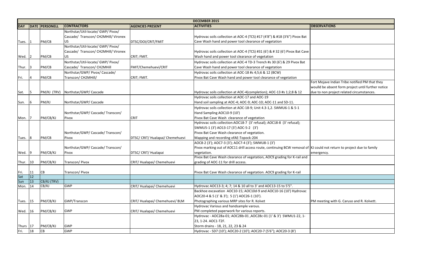|             |              |                       |                                      |                                  | <b>DECEMBER 2015</b>                                                                                                 |                                            |
|-------------|--------------|-----------------------|--------------------------------------|----------------------------------|----------------------------------------------------------------------------------------------------------------------|--------------------------------------------|
| <b>DAY</b>  |              | <b>DATE PERSONELL</b> | <b>CONTRACTORS</b>                   | <b>AGENCIES PRESENT</b>          | <b>ACTIVITIES</b>                                                                                                    | <b>OBSERVATIONS</b>                        |
|             |              |                       | Northstar/Util-locate/ GWP/ Pivox/   |                                  |                                                                                                                      |                                            |
|             |              |                       | Cascade/ Transcon/ CH2MHill/ Vironex |                                  | Hydrovac soils collection at AOC-4 (TCS) #17 (4'8") & #18 (3'6") Pivox Bat                                           |                                            |
| Tues.       |              | PM/CB                 | US.                                  | DTSC/DOI/CRIT/FMIT               | Cave Wash hand and power tool clearance of vegetation                                                                |                                            |
|             |              |                       | Northstar/Util-locate/ GWP/ Pivox/   |                                  |                                                                                                                      |                                            |
|             |              |                       | Cascade/ Transcon/ CH2MHill/ Vironex |                                  | Hydrovac soils collection at AOC-4 (TCS) #31 (6') & #32 (6') Pivox Bat Cave                                          |                                            |
| Wed. $ 2 $  |              | PM/CB                 | <b>US</b>                            | CRIT; FMIT.                      | Wash hand and power tool clearance of vegetation                                                                     |                                            |
|             |              |                       | Northstar/Util-locate/ GWP/ Pivox/   |                                  | Hydrovac soils collection at AOC-4 TD-3 Trench #s 30 (6') & 29 Pivox Bat                                             |                                            |
| Thur. $ 3 $ |              | PM/CB                 | Cascade/ Transcon/ CH2MHill          | FMIT/Chemehuevi/CRIT             | Cave Wash hand and power tool clearance of vegetation                                                                |                                            |
|             |              |                       | Northstar/GWP/ Pivox/ Cascade/       |                                  | Hydrovac soils collection at AOC-18 #s 4;5;6 & 12 (BCW)                                                              |                                            |
| Fri.        | 14           | PM/CB                 | Transcon/ CH2MHill/                  | CRIT; FMIT.                      | Pivox Bat Cave Wash hand and power tool clearance of vegetation                                                      |                                            |
|             |              |                       |                                      |                                  |                                                                                                                      | Fort Mojave Indian Tribe notified PM that  |
|             |              |                       |                                      |                                  |                                                                                                                      | woulld be absent form project until furthe |
| Sat.        | 15           | PM/KJ (TRV)           | Northstar/GWP/ Cascade               |                                  | Hydrovac soils collection at AOC-4(completion); AOC-13 #s 1;2;8 & 12                                                 | due to non project related circumstances.  |
|             |              |                       |                                      |                                  | Hydrovac soils collection at AOC-17 and AOC-19                                                                       |                                            |
| Sun.        | $\sqrt{6}$   | PM/KJ                 | Northstar/GWP/ Cascade               |                                  | Hand soil sampling at AOC-4; AOC-9; AOC-10; AOC-11 and SD-11.                                                        |                                            |
|             |              |                       |                                      |                                  | Hydrovac soils collection at AOC-18-9; Unit 4.3-1,2. SWMU6-1 & 5-1                                                   |                                            |
|             |              |                       | Northstar/GWP/ Cascade/ Transcon/    |                                  | Hand Sampling AOC10-9 (10')                                                                                          |                                            |
| Mon. 7      |              | PM/CB/KJ              | Pivox                                | <b>CRIT</b>                      | Pivox Bat Cave Wash clearance of vegetation                                                                          |                                            |
|             |              |                       |                                      |                                  | Hydrovac soils collection:AOC18-7 (3' refusal); AOC18-8 (3' refusal);                                                |                                            |
|             |              |                       |                                      |                                  | SWMU5-1 (3') AO13-17 (3') AOC-5-2 (3')                                                                               |                                            |
|             |              |                       | Northstar/GWP/ Cascade/ Transcon/    |                                  | Pivox Bat Cave Wash clearance of vegetation.                                                                         |                                            |
| Tues. 8     |              | PM/CB                 | Pivox                                | DTSC/ CRIT/ Hualapai/ Chemehuevi | Mapping and recording of AE-Topock-204                                                                               |                                            |
|             |              |                       |                                      |                                  | AOC8-2 (3'); AOC7-3 (3'); AOC7-4 (3'); SWMU8-1 (3')                                                                  |                                            |
|             |              |                       | Northstar/GWP/ Cascade/ Transcon/    |                                  | Pivox marking out of AOC11 drill access route, continuing BCW removal of KJ could not return to project due to famil |                                            |
| Wed. $ 9 $  |              | PM/CB/KJ              | Pivox                                | DTSC/ CRIT/ Hualapai             | vegetation.                                                                                                          | emergency.                                 |
|             |              |                       |                                      |                                  | Pivox Bat Cave Wash clearance of vegetation, AOC9 grading for K-rail and                                             |                                            |
| Thur.       | $ 10\rangle$ | PM/CB/KJ              | Transcon/ Pivox                      | CRIT/Hualapai/Chemehuevi         | grading of AOC-11 for drill access.                                                                                  |                                            |
|             |              |                       |                                      |                                  |                                                                                                                      |                                            |
| Fri. $11$   |              | CB                    | Transcon/ Pivox                      |                                  | Pivox Bat Cave Wash clearance of vegetation. AOC9 grading for K-rail                                                 |                                            |
| Sat         | $ 12\rangle$ |                       |                                      |                                  |                                                                                                                      |                                            |
| Sun         | $ 13\rangle$ | CB/KJ (TRV)           |                                      |                                  |                                                                                                                      |                                            |
| Mon.        | 14           | CB/KJ                 | <b>GWP</b>                           | CRIT/Hualapai/Chemehuevi         | Hydrovac AOC13-3; 4; 7; 14 & 10 all to 3' and AOC13-15 to 5'5".                                                      |                                            |
|             |              |                       |                                      |                                  | Backhoe excavation AOC10-15; AOC10d-9 and AOC10-16 (10') Hydrovac                                                    |                                            |
|             |              |                       |                                      |                                  | AOC20-4 & 5 (1' & 3'); 5 (1') AOC26-1 (10').                                                                         |                                            |
| Tues. 15    |              | PM/CB/KJ              | GWP/Transcon                         | CRIT/Hualapai/Chemehuevi/BLM     | Photographing various MRP sites for R. Kolvet                                                                        | PM meeting with G. Caruso and R. Kolvett.  |
|             |              |                       |                                      |                                  | Hydrovac Various and handsample varous.                                                                              |                                            |
| Wed. 16     |              | PM/CB/KJ              | <b>GWP</b>                           | CRIT/Hualapai/Chemehuevi         | PM completed paperwork for various reports.                                                                          |                                            |
|             |              |                       |                                      |                                  | Hydrovac - AOC28a-01; AOC28b-01, AOC28c-01 (1' & 3') SWMU1-22, 1-                                                    |                                            |
|             |              |                       |                                      |                                  | 23, 1-24. AOC1-T2F.                                                                                                  |                                            |
| Thurs 17    |              | PM/CB/KJ              | <b>GWP</b>                           |                                  | Storm drains - 18, 21, 22, 23 & 24                                                                                   |                                            |
| Fri.        | 18           | <b>CB</b>             | <b>GWP</b>                           |                                  | Hydrovac - SD7 (10'); AOC20-2 (10'); AOC20-7 (5'6"); AOC20-3 (8')                                                    |                                            |

| <b>OBSERVATIONS</b>                                |
|----------------------------------------------------|
|                                                    |
|                                                    |
|                                                    |
|                                                    |
|                                                    |
|                                                    |
|                                                    |
|                                                    |
|                                                    |
|                                                    |
| Fort Mojave Indian Tribe notified PM that they     |
| woulld be absent form project until further notice |
| due to non project related circumstances.          |
|                                                    |
|                                                    |
|                                                    |
|                                                    |
|                                                    |
|                                                    |
|                                                    |
|                                                    |
|                                                    |
|                                                    |
| KJ could not return to project due to family       |
| emergency.                                         |
|                                                    |
|                                                    |
|                                                    |
|                                                    |
|                                                    |
|                                                    |
|                                                    |
|                                                    |
|                                                    |
| PM meeting with G. Caruso and R. Kolvett.          |
|                                                    |
|                                                    |
|                                                    |
|                                                    |
|                                                    |
|                                                    |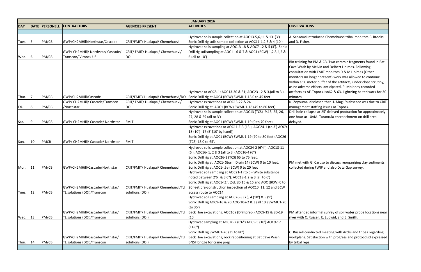|            |              |                       |                                    |                                     | <b>JANUARY 2016</b>                                                                     |                     |
|------------|--------------|-----------------------|------------------------------------|-------------------------------------|-----------------------------------------------------------------------------------------|---------------------|
| <b>DAY</b> |              | <b>DATE PERSONELL</b> | <b>CONTRACTORS</b>                 | <b>AGENCIES PRESENT</b>             | <b>ACTIVITIES</b>                                                                       | <b>OBSERVATIONS</b> |
|            |              |                       |                                    |                                     |                                                                                         |                     |
|            |              |                       |                                    |                                     | Hydrovac soils sample collection at AOC13-5,6,11 & 13 (3')                              | A. Sansouci intro   |
| Tues.      | 5            | PM/CB                 | GWP/CH2MHill/Northstar/Cascade     | CRIT/FMIT/ Hualapai/ Chemehuevi     | Sonic Drill rig soils sample collection at AOC11-1,2,3 & 4 (10')                        | and D. Fisher.      |
|            |              |                       |                                    |                                     | Hydrovac soils sampling at AOC13-18 & AOC7-12 & 5 (3'). Sonic                           |                     |
|            |              |                       | GWP/ CH2MHill/ Northstar/ Cascade/ | CRIT/FMIT/Hualapai/Chemehuevi/      | Drill rig soilsampling at AOC11-6 & 7 & AOC1 (BCW) 1,2,3,4,5 &                          |                     |
| Wed.       | 16           | PM/CB                 | Transcon/ Vironex US               | DOI                                 | 6 (all to 10')                                                                          |                     |
|            |              |                       |                                    |                                     |                                                                                         | Bio training for I  |
|            |              |                       |                                    |                                     |                                                                                         | Cave Wash by N      |
|            |              |                       |                                    |                                     |                                                                                         | consultation wit    |
|            |              |                       |                                    |                                     |                                                                                         | monitors no lon     |
|            |              |                       |                                    |                                     |                                                                                         | within a 50 met     |
|            |              |                       |                                    |                                     |                                                                                         | as no adverse et    |
|            |              |                       |                                    |                                     | Hydrovac at AOC8-1: AOC13-30 & 31; AOC23 - 2 & 3.(all to 3').                           | artifacts as AE-T   |
| Thur.      |              | PM/CB                 | GWP/CH2MHill/Cascade               |                                     | CRIT/FMIT/ Hualapai/ Chemehuevi/DOI Sonic Drill rig at AOC4 (BCW) SWMU1-18 0 to 45 feet | minutes.            |
|            |              |                       | GWP/ CH2MHill/ Cascade/Transcon    | CRIT/FMIT/Hualapai/Chemehuevi/      | Hydrovac excavations at AOC13-22 & 24                                                   | N. Zeyouma dis      |
| Fri.       | 18           | PM/CB                 | /Northstar                         | <b>DOI</b>                          | Sonic Drill rig at AOC1 (BCW) SWMU1-18 (45 to 80 feet).                                 | management st       |
|            |              |                       |                                    |                                     | Hydrovac soils sample collection at AOC13 (TCS) -9,13, 25, 26,                          | Drill hole collaps  |
|            |              |                       |                                    |                                     | 27, 28 & 29 (all to 3')                                                                 | one hour at 10A     |
| Sat.       |              | PM/CB                 | GWP/ CH2MHill/ Cascade/ Northstar  | <b>FMIT</b>                         | Sonic Drill rig at AOC1 (BCW) SWMU1-19 (0 to 70 feet)                                   | delayed.            |
|            |              |                       |                                    |                                     | Hydrovac excavations at AOC11-E-3 (13'); AOC24-1 (to 3') AOC9-                          |                     |
|            |              |                       |                                    |                                     | [18 (10');-17 (5' [10' by hand])                                                        |                     |
|            |              |                       |                                    |                                     | Sonic Drill rig at AOC1 (BCW) SWMU1-19 (70 to 80 feet) AOC26                            |                     |
| Sun.       | $ 10\rangle$ | <b>PMCB</b>           | GWP/ CH2MHill/ Cascade/ Northstar  | <b>FMIT</b>                         | (TCS)-18 0 to 65'.                                                                      |                     |
|            |              |                       |                                    |                                     | Hydrovac soils sample collection at AOC24-2 (6'4"); AOC18-11                            |                     |
|            |              |                       |                                    |                                     | $(6')$ ; AOC16-1, 2 & 3 (all to 3').AOC16-4 (6")                                        |                     |
|            |              |                       |                                    |                                     | Sonic Drill rig at AOC26-1 (TCS) 65 to 75 feet.                                         |                     |
|            |              |                       |                                    |                                     | Sonic Drill rig at AOC1- Storm Drain 14 (BCW) 0 to 10 feet.                             | PM met with G.      |
| Mon.       | 11           | PM/CB                 | GWP/CH2MHill/Cascade/Northstar     | CRIT/FMIT/ Hualapai/ Chemehuevi     | Sonic Drill rig at AOC1-t5e (BCW) 0 to 20 feet                                          | collected during    |
|            |              |                       |                                    |                                     | Hydrovac soil sampling at AOC21-1 (to 6'- White substance                               |                     |
|            |              |                       |                                    |                                     | noted between 2'6" & 3'6"). AOC18-1,2 & 3 (all to 6')                                   |                     |
|            |              |                       |                                    |                                     | Sonic Drill rig at AOC1-t1f, t5d, SD 15 & 16 and AOC (BCW) 0 to                         |                     |
|            |              |                       | GWP/CH2MHill/Cascade/Northstar/    | CRIT/FMIT/ Hualapai/ Chemehuevi/TLI | 20 feet.pre-construction inspection of AOC10, 11, 12 and BCW                            |                     |
| Tues.      | $ 12\rangle$ | PM/CB                 | TLIsolutions (DOI)/Transcon        | solutions (DOI)                     | access route to AOC14.                                                                  |                     |
|            |              |                       |                                    |                                     | Hydrovac soil sampling at AOC26-3 (7'), 4 (10') & 5 (9').                               |                     |
|            |              |                       |                                    |                                     | Sonic Drill rig AOC9-16 & 20.AOC-10a-2 & 3 (all 10') SWMU1-20                           |                     |
|            |              |                       |                                    |                                     | $($ to 35 $')$                                                                          |                     |
|            |              |                       | GWP/CH2MHill/Cascade/Northstar/    | CRIT/FMIT/ Hualapai/ Chemehuevi/TLI | Back Hoe excavations: AOC10a (Drill prep.) AOC9-19 & SD-19                              | PM attended in      |
| Wed.       | $ 13\rangle$ | PM/CB                 | TLIsolutions (DOI)/Transcon        | solutions (DOI)                     | (10)                                                                                    | river with C. Rus   |
|            |              |                       |                                    |                                     | Hydrovac sampling at AOC26-2 (6'6") AOC5-5 (10') AOC9-17                                |                     |
|            |              |                       |                                    |                                     | (14'6'')                                                                                |                     |
|            |              |                       |                                    |                                     | Sonic Drill rig SWMU1-20 (35 to 80')                                                    | C. Russell condu    |
|            |              |                       | GWP/CH2MHill/Cascade/Northstar/    | CRIT/FMIT/ Hualapai/ Chemehuevi/TLI | Back Hoe excavations; rock repositioning at Bat Cave Wash                               | workplans. Satis    |
| Thur.      | 14           | PM/CB                 | TLIsolutions (DOI)/Transcon        | solutions (DOI)                     | BNSF bridge for crane prep                                                              | by tribal reps.     |
|            |              |                       |                                    |                                     |                                                                                         |                     |
|            |              |                       |                                    |                                     |                                                                                         |                     |

A. Aroduced Chemehuevi tribal monitors F. Brooks

For PM & CB. Two ceramic fragments found in Bat y Melvin and Delbert Holmes. Following with FMIT monitors D & M Holmes (Other longer present) work was allowed to continue eter buffer of the artifacts, under close scrutiny, effects anticipated. P. Moloney recorded E-Topock-Iso62 & 63. Lightning halted work for 30

disclosed that H. Magill's absence was due to CRIT t staffing issues at Topock.

lapse at 25' delayed production for approximately OAM. Tarantula encroachment on drill area

G. Caruso to discuss reorganizing clay sediments ing FWIP and also Data Gap survey.

informal survey of soil water probe locations near Russell, E. Ludwid, and B. Smith.

ducted meeting with Archs and tribes regarding atisfaction with progress and protocolsd expressed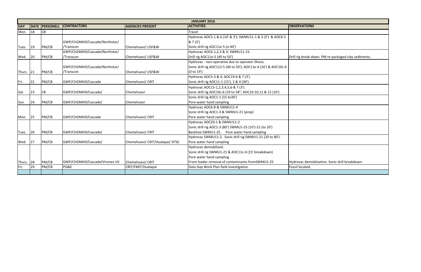|            |     | <b>JANUARY 2016</b><br><b>CONTRACTORS</b><br><b>ACTIVITIES</b><br><b>OBSERVATIONS</b><br><b>DATE PERSONELL</b><br><b>AGENCIES PRESENT</b> |                                 |                                 |                                                                 |                                                     |  |  |  |  |  |  |  |  |
|------------|-----|-------------------------------------------------------------------------------------------------------------------------------------------|---------------------------------|---------------------------------|-----------------------------------------------------------------|-----------------------------------------------------|--|--|--|--|--|--|--|--|
| <b>DAY</b> |     |                                                                                                                                           |                                 |                                 |                                                                 |                                                     |  |  |  |  |  |  |  |  |
| Mon.       | 18  | CB                                                                                                                                        |                                 |                                 | Travel                                                          |                                                     |  |  |  |  |  |  |  |  |
|            |     |                                                                                                                                           |                                 |                                 | Hydrovac AOC5-1 & 6 (10' & 3'); SWMU11-1 & 3 (3') & AOC6-5      |                                                     |  |  |  |  |  |  |  |  |
|            |     |                                                                                                                                           | GWP/CH2MHill/Cascade/Northstar/ |                                 | 87(3)                                                           |                                                     |  |  |  |  |  |  |  |  |
| Tues.      | 19  | PM/CB                                                                                                                                     | /Transcon                       | Chemehuevi/ USF&W               | Sonic drill rig AOC11e-5 (o-40')                                |                                                     |  |  |  |  |  |  |  |  |
|            |     |                                                                                                                                           | GWP/CH2MHill/Cascade/Northstar/ |                                 | Hydrovac AOC6-1,2,3 & 4; SWMU11-15.                             |                                                     |  |  |  |  |  |  |  |  |
| Wed.       | 20  | PM/CB                                                                                                                                     | /Transcon                       | Chemehuevi/ USF&W               | Drill rig AOC11e-5 (40 to 50')                                  | Drill rig break down. PM re-packaged clay sediments |  |  |  |  |  |  |  |  |
|            |     |                                                                                                                                           |                                 |                                 | Hydrovac - non-operative due to operator illness.               |                                                     |  |  |  |  |  |  |  |  |
|            |     |                                                                                                                                           | GWP/CH2MHill/Cascade/Northstar/ |                                 | Sonic drill rig AOC112-5 (40 to 50'); AOC11e-4 (16') & AOC10c-6 |                                                     |  |  |  |  |  |  |  |  |
| Thurs      | 21  | PM/CB                                                                                                                                     | /Transcon                       | Chemehuevi/ USF&W               | (0 to 19')                                                      |                                                     |  |  |  |  |  |  |  |  |
|            |     |                                                                                                                                           |                                 |                                 | Hydrovac AOC5-3 & 4; AOC19-6 & 7 (3').                          |                                                     |  |  |  |  |  |  |  |  |
| Fri.       | 22  | PM/CB                                                                                                                                     | GWP/CH2MHill/Cascade            | Chemehuevi/ CRIT                | Sonic drill rig AOC11-1 (15'), 2 & 4 (30')                      |                                                     |  |  |  |  |  |  |  |  |
|            |     |                                                                                                                                           |                                 |                                 | Hydrovac AOC15-1, 2, 3, 4, 5, 6 & 7 (3').                       |                                                     |  |  |  |  |  |  |  |  |
| Sat.       | 23  | <b>CB</b>                                                                                                                                 | GWP/CH2MHill/Cascade/           | Chemehuevi                      | Sonic drill rig AOC10c-6 (19 to 58"; AOC10-10,11 & 12 (10')     |                                                     |  |  |  |  |  |  |  |  |
|            |     |                                                                                                                                           |                                 |                                 | Sonic drill rig AOC1-1 (15 to30')                               |                                                     |  |  |  |  |  |  |  |  |
| Sun.       | 24  | PM/CB                                                                                                                                     | GWP/CH2MHill/Cascade/           | Chemehuevi                      | Pore water hand sampling                                        |                                                     |  |  |  |  |  |  |  |  |
|            |     |                                                                                                                                           |                                 |                                 | Hydrovac AOC6-8 & SWMU11-4                                      |                                                     |  |  |  |  |  |  |  |  |
|            |     |                                                                                                                                           |                                 |                                 | Sonic drill rig AOC1-3 & SWMU1-21 (prep)                        |                                                     |  |  |  |  |  |  |  |  |
| Mon.       | 25  | PM/CB                                                                                                                                     | GWP/CH2MHill/Cascade            | Chemehuevi/ CRIT                | Pore water hand sampling                                        |                                                     |  |  |  |  |  |  |  |  |
|            |     |                                                                                                                                           |                                 |                                 | Hydrovac AOC20-1 & SWMU11-2                                     |                                                     |  |  |  |  |  |  |  |  |
|            |     |                                                                                                                                           |                                 |                                 | Sonic drill rig AOC1-3 (80') SWMU1-25 (10')-21 (to 20')         |                                                     |  |  |  |  |  |  |  |  |
| Tues.      | 26  | PM/CB                                                                                                                                     | GWP/CH2MHill/Cascade/           | Chemehuevi/ CRIT                | Backhoe SWMU1-25. Pore water hand sampling                      |                                                     |  |  |  |  |  |  |  |  |
|            |     |                                                                                                                                           |                                 |                                 | Hydrovac SWMU11-2. Sonic drill rig SWMU1-21 (20 to 80').        |                                                     |  |  |  |  |  |  |  |  |
| Wed.       | 127 | PM/CB                                                                                                                                     | GWP/CH2MHill/Cascade/           | Chemehuevi/ CRIT/Hualapai/ DTSC | Pore water hand sampling                                        |                                                     |  |  |  |  |  |  |  |  |
|            |     |                                                                                                                                           |                                 |                                 | Hydrovac demobilized.                                           |                                                     |  |  |  |  |  |  |  |  |
|            |     |                                                                                                                                           |                                 |                                 | Sonic drill rig SWMU1-21 & AOC11c-4 (15' breakdown)             |                                                     |  |  |  |  |  |  |  |  |
|            |     |                                                                                                                                           |                                 |                                 | Pore water hand sampling                                        |                                                     |  |  |  |  |  |  |  |  |
| Thurs.     | 28  | PM/CB                                                                                                                                     | GWP/CH2MHill/Cascade/Vironex US | Chemehuevi/ CRIT                | Front loader removal of contaminants fromSWMU1-25               | Hydrovac demobilzation. Sonic drill breakdown.      |  |  |  |  |  |  |  |  |
| Fri.       | 29  | PM/CB                                                                                                                                     | PG&E                            | CRIT/FMIT/Hualapai              | Data Gap Work Plan field investigation                          | Fossil located.                                     |  |  |  |  |  |  |  |  |
|            |     |                                                                                                                                           |                                 |                                 |                                                                 |                                                     |  |  |  |  |  |  |  |  |

| $\overline{\text{NS}}$                                           |
|------------------------------------------------------------------|
|                                                                  |
|                                                                  |
|                                                                  |
|                                                                  |
| c down. PM re-packaged clay sediments.                           |
|                                                                  |
|                                                                  |
|                                                                  |
|                                                                  |
|                                                                  |
|                                                                  |
|                                                                  |
|                                                                  |
|                                                                  |
|                                                                  |
|                                                                  |
|                                                                  |
|                                                                  |
|                                                                  |
|                                                                  |
|                                                                  |
|                                                                  |
|                                                                  |
| mobilzation. Sonic drill breakdown.<br>$\overline{\mathbf{I}}$ . |
|                                                                  |
|                                                                  |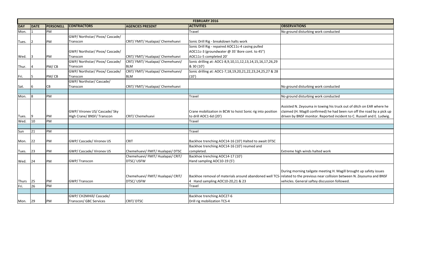|          |      |                  |                                                             |                                   | <b>FEBRUARY 2016</b>                                                                            |                                                                                                                       |  |
|----------|------|------------------|-------------------------------------------------------------|-----------------------------------|-------------------------------------------------------------------------------------------------|-----------------------------------------------------------------------------------------------------------------------|--|
| DAY      | DATE | <b>PERSONELL</b> | <b>CONTRACTORS</b>                                          | <b>AGENCIES PRESENT</b>           | <b>ACTIVITIES</b>                                                                               | <b>OBSERVATIONS</b>                                                                                                   |  |
| Mon.     |      | PM               |                                                             |                                   | Travel                                                                                          | No ground disturbing work conducted                                                                                   |  |
|          |      |                  | GWP/ Northstar/ Pivox/ Cascade/                             |                                   |                                                                                                 |                                                                                                                       |  |
| Tues.    |      | PM               | Transcon                                                    | CRIT/FMIT/Hualapai/Chemehuevi     | Sonic Drill Rig - breakdown halts work                                                          |                                                                                                                       |  |
|          |      |                  |                                                             |                                   | Sonic Drill Rig - repaired AOC11c-4 casing pulled                                               |                                                                                                                       |  |
|          |      |                  | GWP/Northstar/Pivox/Cascade/                                |                                   | AOC11c-3 (groundwater @ 35' Bore cont. to 45")                                                  |                                                                                                                       |  |
| Wed.     |      | PM               | Transcon                                                    | CRIT/FMIT/Hualapai/Chemehuevi     | AOC11c-5 completed 20'                                                                          |                                                                                                                       |  |
|          |      |                  | GWP/ Northstar/ Pivox/ Cascade/                             | CRIT/FMIT/Hualapai/Chemehuevi/    | Sonic drilling at: AOC1-8,9,10,11,12,13,14,15,16,17,26,29                                       |                                                                                                                       |  |
| Thur.    |      | PM/CB            | Transcon                                                    | <b>BLM</b>                        | & 30 (10')                                                                                      |                                                                                                                       |  |
|          |      |                  | GWP/ Northstar/ Pivox/ Cascade/                             | CRIT/FMIT/Hualapai/Chemehuevi/    | Sonic drilling at: AOC1-7,18,19,20,21,22,23,24,25,27 & 28                                       |                                                                                                                       |  |
| Fri.     |      | PM/CB            | Transcon                                                    | <b>BLM</b>                        | (10)                                                                                            |                                                                                                                       |  |
|          |      |                  | GWP/Northstar/Cascade/                                      |                                   |                                                                                                 |                                                                                                                       |  |
| Sat.     |      | CB               | Transcon                                                    | CRIT/FMIT/Hualapai/Chemehuevi     |                                                                                                 | No ground disturbing work conducted                                                                                   |  |
|          |      |                  |                                                             |                                   |                                                                                                 |                                                                                                                       |  |
| Mon.     | l8   | PM               |                                                             |                                   | <b>Travel</b>                                                                                   | No ground disturbing work conducted                                                                                   |  |
| Tues.    | 19   | PM               | GWP/ Vironex US/ Cascade/ Sky<br>High Crane/ BNSF/ Transcon | <b>CRIT/ Chemehuevi</b>           | Crane mobilization in BCW to hoist Sonic rig into position<br>to drill AOC1-6d (20')            | Assisted N. Zeyouma in towing his tru<br>claimed (H. Magill confirmed) he had<br>driven by BNSF monitor. Reported inc |  |
| Wed.     | 10   | PM               |                                                             |                                   | <b>Travel</b>                                                                                   |                                                                                                                       |  |
|          |      |                  |                                                             |                                   |                                                                                                 |                                                                                                                       |  |
| Sun      | 21   | PM               |                                                             |                                   | <b>Travel</b>                                                                                   |                                                                                                                       |  |
|          |      |                  |                                                             |                                   |                                                                                                 |                                                                                                                       |  |
| Mon.     | 22   | PM               | <b>GWP/ Cascade/ Vironex US</b>                             | <b>CRIT</b>                       | Backhoe trenching AOC14-16 (10') Halted to await DTSC                                           |                                                                                                                       |  |
|          |      |                  |                                                             |                                   | Backhoe trenching AOC14-16 (10') reumed and                                                     |                                                                                                                       |  |
| Tues.    | 23   | PM               | <b>GWP/ Cascade/ Vironex US</b>                             | Chemehuevi/ FMIT/ Hualapai/ DTSC  | completed.                                                                                      | Extreme high winds halted work                                                                                        |  |
|          |      |                  |                                                             | Chemehuevi/ FMIT/ Hualapai/ CRIT/ | Backhoe trenching AOC14-17 (10')                                                                |                                                                                                                       |  |
| Wed.     | 24   | PM               | <b>GWP/Transcon</b>                                         | DTSC/USFW                         | Hand sampling AOC10-19 (5')                                                                     |                                                                                                                       |  |
|          |      |                  |                                                             |                                   |                                                                                                 |                                                                                                                       |  |
|          |      |                  |                                                             |                                   |                                                                                                 | During morning tailgate meeting H. M                                                                                  |  |
|          |      |                  |                                                             | Chemehuevi/ FMIT/ Hualapai/ CRIT/ | Backhoe removal of materials around abandoned well TCS-related to the previous near collision I |                                                                                                                       |  |
| Thurs 25 |      | PM               | <b>GWP/Transcon</b>                                         | DTSC/USFW                         | 4 Hand sampling AOC10-20,21 & 23                                                                | vehicles. General saftey discussion fol                                                                               |  |
| Fri.     | 26   | PM               |                                                             |                                   | Travel                                                                                          |                                                                                                                       |  |
|          |      |                  |                                                             |                                   |                                                                                                 |                                                                                                                       |  |
|          |      |                  | GWP/ CH2MHill/ Cascade/                                     |                                   | Backhoe trenching AOC27-6                                                                       |                                                                                                                       |  |
| Mon.     | 29   | PM               | Transcon/ GBC Services                                      | CRIT/DTSC                         | Drill rig mobilization TCS-4                                                                    |                                                                                                                       |  |

as in towing his truck out of ditch on EAR where he Il confirmed) he had been run off the road by a pick up onitor. Reported incident to C. Russell and E. Ludwig.

ailgate meeting H. Magill brought up safety issues vious near collision between N. Zeyouma and BNSF saftey discussion followed.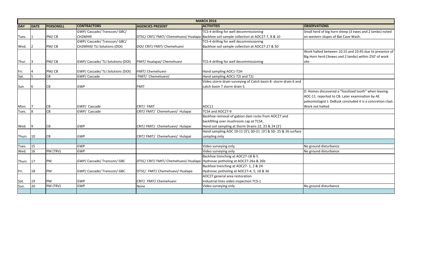|              |      |                  | <b>MARCH 2016</b>                 |                                                                             |                                                                                         |                         |
|--------------|------|------------------|-----------------------------------|-----------------------------------------------------------------------------|-----------------------------------------------------------------------------------------|-------------------------|
| <b>DAY</b>   | DATE | <b>PERSONELL</b> | <b>CONTRACTORS</b>                | <b>AGENCIES PRESENT</b>                                                     | <b>ACTIVITIES</b>                                                                       | <b>OBSERVATIONS</b>     |
|              |      |                  | GWP/Cascade/Transcon/GBC/         |                                                                             | TCS-4 drilling for well decommissioning                                                 | Small herd of big horn  |
| Tues.        |      | PM/CB            | CH2MHill                          |                                                                             | DTSC/ CRIT/ FMIT/ Chemehuevi/ Hualapa Backhoe soil sample collection at AOC27-7, 8 & 10 | on western slopes of B  |
|              |      |                  | GWP/Cascade/Transcon/GBC/         |                                                                             | TCS-4 drilling for well decommissioning                                                 |                         |
| Wed.         |      | PM/CB            | CH2MHill/ TLI Solutions (DOI)     | DOI/ CRIT/ FMIT/ Chemehuevi                                                 | Backhoe soil sample collection at AOC27-27 & 50                                         |                         |
|              |      |                  |                                   |                                                                             |                                                                                         | Work halted between     |
|              |      |                  |                                   |                                                                             |                                                                                         | Big Horn herd (3ewes a  |
| Thur.        | I3   | PM/CB            | GWP/ Cascade/ TLI Solutions (DOI) | FMIT/Hualapai/Chemehuevi                                                    | TCS-4 drilling for well decommissioning                                                 | site                    |
|              |      | PM/CB            | GWP/ Cascade/ TLI Solutions (DOI) | FMIT/ Chemehuevi                                                            | Hand sampling AOC1-T2H                                                                  |                         |
| Fri.<br>Sat. |      | CB               | GWP/Cascade                       | FMIT/ Chemehuevi/                                                           | Hand sampling AOC1-T2I and T2J                                                          |                         |
|              |      |                  |                                   |                                                                             | Video storm drain surveying of Catch basin 8- storm drain 6 and                         |                         |
|              |      |                  | <b>GWP</b>                        | <b>FMIT</b>                                                                 | catch basin 7 storm drain 5.                                                            |                         |
| Sun          | 6    | CB               |                                   |                                                                             |                                                                                         | D. Homes discovered a   |
|              |      |                  |                                   |                                                                             |                                                                                         | AOC-11. reported to CI  |
|              |      |                  |                                   |                                                                             |                                                                                         | paleontologist J. DeBus |
|              |      |                  | GWP/ Cascade                      | CRIT/ FMIT                                                                  | AOC11                                                                                   | Work not halted         |
| Mon.         | 8    | CB<br>CB         | GWP/ Cascade                      | CRIT/FMIT/ Chemehuevi/ Hulapai                                              | TCS4 and AOC27-9                                                                        |                         |
| Tues.        |      |                  |                                   |                                                                             | Backhoe removal of gabion dam rocks from AOC27 and                                      |                         |
|              |      |                  |                                   |                                                                             | backfilling over mushroom cap at TCS4.                                                  |                         |
| Wed.         | 19   | <b>CB</b>        | <b>GWP</b>                        | CRIT/FMIT/ Chemehuevi/ Hulapai                                              | Hand soil sampling at Storm Drains 22, 23 & 24 (3')                                     |                         |
|              |      |                  |                                   |                                                                             | Hand sampling AOC 19-11 (3'); SD-21 (3') & SD- 25 & 26 surface                          |                         |
| Thurs        | 10   | <b>CB</b>        | <b>GWP</b>                        | CRIT/FMIT/ Chemehuevi/ Hulapai                                              | sampling only                                                                           |                         |
|              |      |                  |                                   |                                                                             |                                                                                         |                         |
| Tues.        | 15   |                  | <b>GWP</b>                        |                                                                             | Video surveying only                                                                    | No ground disturbance   |
| Wed.         | 16   | PM (TRV)         | <b>GWP</b>                        |                                                                             | Video surveying only                                                                    | No ground disturbance   |
|              |      |                  |                                   |                                                                             | Backhoe trenching at AOC27-18 & 5.                                                      |                         |
| Thurs        | 17   | PM               | GWP/ Cascade/ Transcon/ GBC       | DTSC/ CRIT/ FMIT/ Chemehuevi/ Hualapa Hydrovac potholing at AOC27-26a & 26b |                                                                                         |                         |
|              |      |                  |                                   |                                                                             | Backhoe trenching at AOC27-1, 2 & 24                                                    |                         |
| Fri.         | 18   | PM               | GWP/Cascade/Transcon/GBC          | DTSC/ FMIT/ Chemehuevi/ Hualapa                                             | Hydrovac potholing at AOC27-4, 5, 18 & 36                                               |                         |
|              |      |                  |                                   |                                                                             | AOC27 general area restoration                                                          |                         |
| Sat.         | 19   | PM               | <b>GWP</b>                        | CRIT/ FMIT/ Chemehuevi                                                      | Industrial lines video inspection TCS-1                                                 |                         |
| Sun.         | 20   | PM (TRV)         | <b>GWP</b>                        | None                                                                        | Video surveying only                                                                    | No ground disturbance   |
|              |      |                  |                                   |                                                                             |                                                                                         |                         |

hall herd of big horn sheep (3 ewes and 2 lambs) noted western slopes of Bat Cave Wash.

ork halted between 10:15 and 10:45 due to presence of 3 Horn herd (3ewes and 2 lambs) within 250' of work

Homes discovered a "fossilized tooth" when leaving OC-11. reported to CB. Later examination by AE leontologist J. DeBusk concluded it is a concretion clast. ork not halted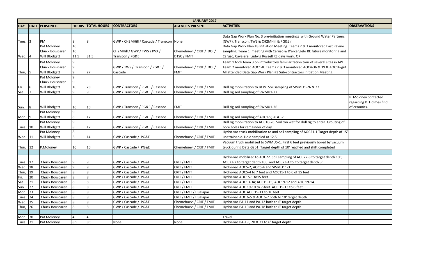|                                                                         | <b>OBSERVATIONS</b>                                              |
|-------------------------------------------------------------------------|------------------------------------------------------------------|
|                                                                         |                                                                  |
| <b>Ground Water Partners</b>                                            |                                                                  |
| monitored East Ravine<br>E future monitoring and                        |                                                                  |
| of several sites in APE.<br>24-36 & 39 & AOC16-grit.<br>iation Meeting. |                                                                  |
| 6 & 27                                                                  |                                                                  |
|                                                                         |                                                                  |
|                                                                         | P. Moloney contacted<br>regarding D. Holmes find<br>of ceramics. |
|                                                                         |                                                                  |
| ig to enter. Grouting of                                                |                                                                  |
| 21-1 Target depth of 15'                                                |                                                                  |
| ously bored by vacuum<br>I shift completed                              |                                                                  |
|                                                                         |                                                                  |
| 3 to target depth 10';<br>depth 3'.                                     |                                                                  |
|                                                                         |                                                                  |
|                                                                         |                                                                  |
| $-14.$                                                                  |                                                                  |
|                                                                         |                                                                  |
|                                                                         |                                                                  |
|                                                                         |                                                                  |
|                                                                         |                                                                  |
|                                                                         |                                                                  |
|                                                                         |                                                                  |
|                                                                         |                                                                  |
|                                                                         |                                                                  |

|              | <b>JANUARY 2017</b> |                        |                |                    |                                            |                           |                                                                                      |                     |
|--------------|---------------------|------------------------|----------------|--------------------|--------------------------------------------|---------------------------|--------------------------------------------------------------------------------------|---------------------|
| <b>DAY</b>   |                     | <b>DATE PERSONELL</b>  | <b>HOURS</b>   | <b>TOTAL HOURS</b> | <b>CONTRACTORS</b>                         | <b>AGENCIES PRESENT</b>   | <b>ACTIVITIES</b>                                                                    | <b>OBSERVATIONS</b> |
|              |                     |                        |                |                    |                                            |                           |                                                                                      |                     |
|              |                     |                        |                |                    |                                            |                           | Data Gap Work Plan No. 3 pre-initiation meetings with Ground Water Partners          |                     |
| Tues. $ 3 $  |                     | PM                     |                |                    | GWP / CH2MHill / Cascade / Transcon   None |                           | (GWP), Transcon, TWS & CH2MHill & PG&E r                                             |                     |
|              |                     | Pat Moloney            | 10             |                    |                                            |                           | Data Gap Work Plan #3 Initiation Meeting. Teams 2 & 3 monitored East Ravine          |                     |
|              |                     | <b>Chuck Bouscaren</b> | 10             |                    | CH2MHill / GWP / TWS / PVX /               | Chemehuevi / CRIT / DOI / | sampling. Team 1 meeting with Caruso & D'arcangelo RE future monitoring and          |                     |
| Wed. $ 4 $   |                     | Will Blodgett          | 11.5           | 31.5               | Transcon / PG&E                            | <b>DTSC / FMIT</b>        | Caruso, Cavaiere, Ludwig Russell RE days work. OK                                    |                     |
|              |                     | Pat Moloney            |                |                    |                                            |                           | Team 1 took team 3 on introductory familiarization tour of several sites in APE.     |                     |
|              |                     | Chuck Bouscaren        | 9              |                    | GWP / TWS / Transcon / PG&E /              | Chemehuevi / CRIT / DOI / | Team 2 monitored AOC1-8. Teams 2 & 3 monitored AOC4-36 & 39 & AOC16-grit.            |                     |
| Thur, $ 5 $  |                     | Will Blodgett          | Ι9             | 27                 | Cascade                                    | <b>FMIT</b>               | All attended Data Gap Work Plan #3 Sub-contractors Initiation Meeting.               |                     |
|              |                     | Pat Moloney            | 9              |                    |                                            |                           |                                                                                      |                     |
|              |                     | Chuck Bouscaren        | 9              |                    |                                            |                           |                                                                                      |                     |
| Fri.         | 16                  | Will Blodgett          | 10             | 28                 | GWP / Transcon / PG&E / Cascade            | Chemehuevi / CRIT / FMIT  | Drill rig mobilization to BCW. Soil sampling of SWMU1-26 & 27                        |                     |
| Sat          |                     | <b>Will Blodgett</b>   |                |                    | GWP / Transcon / PG&E / Cascade            | Chemehuevi / CRIT / FMIT  | Drill rig soil sampling of SWMU1-27                                                  |                     |
|              |                     |                        |                |                    |                                            |                           |                                                                                      | P. Moloney con      |
|              |                     |                        |                |                    |                                            |                           |                                                                                      | regarding D. Ho     |
| Sun.         | 8                   | <b>Will Blodgett</b>   | 10             | 10                 | GWP / Transcon / PG&E / Cascade            | FMIT                      | Drill rig soil sampling of SWMU1-26                                                  | of ceramics.        |
|              |                     | Pat Moloney            | 9              |                    |                                            |                           |                                                                                      |                     |
| Mon. $ 9 $   |                     | Will Blodgett          | 8              | 17                 | GWP / Transcon / PG&E / Cascade            | Chemehuevi / CRIT / FMIT  | Drill rig soil sampling of AOC1-5; -6 & -7                                           |                     |
|              |                     | Pat Moloney            | 9              |                    |                                            |                           | Drill rig mobilization to AOC10-26. Soil too wet for drill rig to enter. Grouting of |                     |
| Tues. 10     |                     | <b>Will Blodgett</b>   | 8              | 17                 | GWP / Transcon / PG&E / Cascade            | Chemehuevi / CRIT / FMIT  | bore holes for remainder of day.                                                     |                     |
|              |                     | Pat Moloney            | $8\phantom{.}$ |                    |                                            |                           | Hydro-vac truck mobilization to and soil sampling of AOC21-1 Target depth of 15'     |                     |
| Wed. 11      |                     | Will Blodgett          | 6              | 14                 | GWP / Cascade / PG&E                       | Chemehuevi / CRIT / FMIT  | unattainable. Hole sampled at 12.5'                                                  |                     |
|              |                     |                        |                |                    |                                            |                           | Vacuum truck mobilized to SWMU5-1. First 6 feet previously bored by vacuum           |                     |
| Thur, $ 12 $ |                     | P.Moloney              | 10             | 10                 | GWP / Cascade / PG&E                       | Chemehuevi / CRIT / FMIT  | truck during Data Gap1. Target depth of 10' reached and shift completed              |                     |
|              |                     |                        |                |                    |                                            |                           |                                                                                      |                     |
|              |                     |                        |                |                    |                                            |                           | Hydro-vac mobilized to AOC22. Soil sampling of AOC22-3 to target depth 10';          |                     |
| Tues.   17   |                     | Chuck Bouscaren        | Ι9             |                    | GWP / Cascade / PG&E                       | CRIT / FMIT               | AOC22-2 to target depth 10'; and AOC23-4 to to target depth 3'.                      |                     |
| Wed. 18      |                     | Chuck Bouscaren        |                |                    | GWP / Cascade / PG&E                       | CRIT / FMIT               | Hydro-vac AOC5-2; AOC5-4 and SWMU11-3                                                |                     |
| Thur, $19$   |                     | Chuck Bouscaren        | $\vert$ 8      | lՋ                 | GWP / Cascade / PG&E                       | CRIT / FMIT               | Hydro-vac AOC5-4 to 7 feet and AOC15-1 to 6 of 15 feet                               |                     |
| Fri.         | 20                  | Chuck Bouscaren        |                |                    | GWP / Cascade / PG&E                       | CRIT / FMIT               | Hydro-vac AOC15-1 to15 feet                                                          |                     |
| Sat          | $ 21\rangle$        | Chuck Bouscaren        | 8              | I8                 | GWP / Cascade / PG&E                       | CRIT / FMIT               | Hydro-vac AOC13-34; AOC19-15; AOC19-12 and AOC 19-14.                                |                     |
| Sun.         | 22                  | Chuck Bouscaren        | 8              |                    | GWP / Cascade / PG&E                       | CRIT / FMIT               | Hydro-vac AOC 19-10 to 7-feet AOC 19-13 to 6-feet                                    |                     |
| Mon. 23      |                     | Chuck Bouscaren        |                |                    | GWP / Cascade / PG&E                       | CRIT / FMIT / Hualapai    | Hydro-vac AOC AOC 19-11 to 10 feet.                                                  |                     |
| Tues. 24     |                     | Chuck Bouscaren        |                |                    | GWP / Cascade / PG&E                       | CRIT / FMIT / Hualapai    | Hydro-vac AOC 6-5 & AOC 6-7 both to 10' target depth.                                |                     |
| Wed. 25      |                     | Chuck Bouscaren        |                |                    | GWP / Cascade / PG&E                       | Chemehuevi / CRIT / FMIT  | Hydro-vac PA-11 and PA-12 both to 6' target depth.                                   |                     |
| Thur, 26     |                     | Chuck Bouscaren        |                |                    | GWP / Cascade / PG&E                       | Chemehuevi / CRIT / FMIT  | Hydro-vac PA-10 and PA-18 both to 6' target depth.                                   |                     |
|              |                     |                        |                |                    |                                            |                           |                                                                                      |                     |
| Mon. 30      |                     | Pat Moloney            | 4              |                    |                                            |                           | <b>Travel</b>                                                                        |                     |
| Tues. 31     |                     | Pat Moloney            | 8.5            | 8.5                | None                                       | None                      | Hydro-vac PA-19, 20 & 21 to 6' target depth.                                         |                     |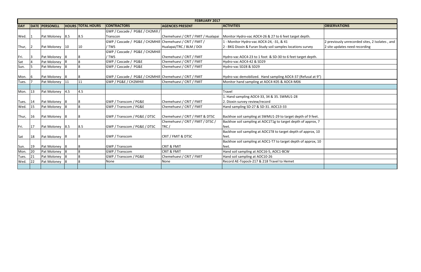|               | <b>OBSERVATIONS</b>                            |
|---------------|------------------------------------------------|
|               |                                                |
| lepth.        |                                                |
|               | 2 previously unrecorded sites, 2 Isolates, and |
| survey        | 2 site updates need recording                  |
| get depth.    |                                                |
|               |                                                |
|               |                                                |
| efusal at 9") |                                                |
|               |                                                |
|               |                                                |
|               |                                                |
|               |                                                |
|               |                                                |
| h of 9 feet.  |                                                |
| of approx, 7  |                                                |
| f approx, 10  |                                                |
| of approx, 10 |                                                |
|               |                                                |
|               |                                                |
|               |                                                |
|               |                                                |

|            |    |                       |                |                          |                                                            | <b>FEBRUARY 2017</b>                |                                                                |                               |
|------------|----|-----------------------|----------------|--------------------------|------------------------------------------------------------|-------------------------------------|----------------------------------------------------------------|-------------------------------|
| <b>DAY</b> |    | <b>DATE PERSONELL</b> |                | <b>HOURS TOTAL HOURS</b> | <b>CONTRACTORS</b>                                         | <b>AGENCIES PRESENT</b>             | <b>ACTIVITIES</b>                                              | <b>OBSERVATIONS</b>           |
|            |    |                       |                |                          | GWP / Cascade / PG&E / CH2Mill /                           |                                     |                                                                |                               |
| Wed.       |    | Pat Moloney 8.5       |                | 8.5                      | Transcon                                                   | Chemehuevi / CRIT / FMIT / Hualapai | Monitor Hydro-vac AOC4-26 & 27 to 6 feet target depth.         |                               |
|            |    |                       |                |                          | GWP / Cascade / PG&E / CH2MHill Chemehuevi / CRIT / FMIT / |                                     | 1 - Monitor Hydro-vac AOC4-24, -31, & 41                       | 2 previously unrecorded sites |
| Thur,      | כו | Pat Moloney           | 10             | 10                       | / TWS                                                      | Hualapai/TRC / BLM / DOI            | 2 - BKG Dioxin & Furan Study soil samples locations survey     | 2 site updates need recording |
|            |    |                       |                |                          | GWP / Cascade / PG&E / CH2MHill                            |                                     |                                                                |                               |
| Fri.       |    | Pat Moloney 8         |                |                          | / TWS                                                      | Chemehuevi / CRIT / FMIT            | Hydro-vac AOC4-23 to 1 foot & SD-30 to 6 feet target depth.    |                               |
| Sat        |    | Pat Moloney           | 18             | 8                        | GWP / Cascade / PG&E                                       | Chemehuevi / CRIT / FMIT            | Hydro-vac AOC4-42 & SD29                                       |                               |
| Sun.       |    | Pat Moloney           |                |                          | GWP / Cascade / PG&E                                       | Chemehuevi / CRIT / FMIT            | Hydro-vac SD28 & SD29                                          |                               |
|            |    |                       |                |                          |                                                            |                                     |                                                                |                               |
| Mon.       | 16 | Pat Moloney 8         |                | l8                       | GWP / Cascade / PG&E / CH2MHill Chemehuevi / CRIT / FMIT   |                                     | Hydro-vac demobilized. Hand sampling AOC4-37 (Refusal at 9")   |                               |
| Tues.      |    | Pat Moloney           | 11             | 11                       | GWP / PG&E / CH2MHill                                      | Chemehuevi / CRIT / FMIT            | Monitor hand sampling at AOC4-K05 & AOC4-M06                   |                               |
|            |    |                       |                |                          |                                                            |                                     |                                                                |                               |
| Mon.       | 13 | Pat Moloney           | 4.5            | 4.5                      |                                                            |                                     | Travel                                                         |                               |
|            |    |                       |                |                          |                                                            |                                     | Hand sampling AOC4-33, 34 & 35. SWMU1-28                       |                               |
| Tues.      | 14 | Pat Moloney           | -18            |                          | <b>GWP / Transcom / PG&amp;E</b>                           | Chemehuevi / CRIT / FMIT            | 2. Dioxin survey review/record                                 |                               |
| Wed.       | 15 | Pat Moloney           | 8              | 8                        | GWP / Transcom / PG&E                                      | Chemehuevi / CRIT / FMIT            | Hand sampling SD-27 & SD-31. AOC13-33                          |                               |
|            |    |                       |                |                          |                                                            |                                     |                                                                |                               |
| Thur,      | 16 | Pat Moloney           | 18             | l8                       | GWP / Transcom / PG&E / DTSC                               | Chemehuevi / CRIT / FMIT & DTSC     | Backhoe soil sampling at SWMU1-29 to target depth of 9 feet.   |                               |
|            |    |                       |                |                          |                                                            | Chemehuevi / CRIT / FMIT / DTSC /   | Backhoe soil sampling at AOC1T1g to target depth of approx, 7  |                               |
| Fri.       | 17 | Pat Moloney           | 8.5            | 8.5                      | GWP / Transcom / PG&E / DTSC                               | TRC/                                | feet.                                                          |                               |
|            |    |                       |                |                          |                                                            |                                     | Backhoe soil sampling at AOC1T8 to target depth of approx, 10  |                               |
| Sat        | 18 | Pat Moloney           | 8              | 8                        | <b>GWP / Transcom</b>                                      | CRIT / FMIT & DTSC                  | feet.                                                          |                               |
|            |    |                       |                |                          |                                                            |                                     | Backhoe soil sampling at AOC1-T7 to target depth of approx, 10 |                               |
| Sun.       | 19 | Pat Moloney           | 8              | 18                       | <b>GWP</b> / Transcom                                      | <b>CRIT &amp; FMIT</b>              | feet.                                                          |                               |
| Mon.       | 20 | Pat Moloney           | $\overline{8}$ | l8                       | <b>GWP / Transcom</b>                                      | <b>CRIT &amp; FMIT</b>              | Hand soil sampling at AOC16-5, AOC1-BCW                        |                               |
| Tues.      | 21 | Pat Moloney           | 8              | l8                       | GWP / Transcom / PG&E                                      | Chemehuevi / CRIT / FMIT            | Hand soil sampling at AOC10-26                                 |                               |
| Wed.       | 22 | Pat Moloney           | -18            |                          | None                                                       | None                                | Record AE-Topock-217 & 218 Travel to Hemet                     |                               |
|            |    |                       |                |                          |                                                            |                                     |                                                                |                               |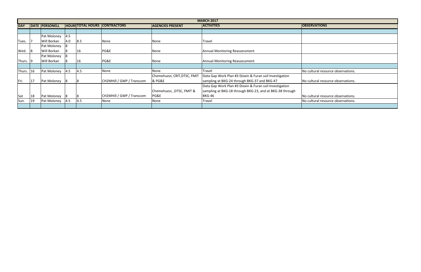|            |    |                       |     |     |                                     |                              | <b>MARCH 2017</b>                                        |                                    |
|------------|----|-----------------------|-----|-----|-------------------------------------|------------------------------|----------------------------------------------------------|------------------------------------|
| <b>DAY</b> |    | <b>DATE PERSONELL</b> |     |     | <b>HOURSTOTAL HOURS CONTRACTORS</b> | <b>AGENCIES PRESENT</b>      | <b>ACTIVITIES</b>                                        | <b>OBSERVATIONS</b>                |
|            |    |                       |     |     |                                     |                              |                                                          |                                    |
|            |    | Pat Moloney           | 4.5 |     |                                     |                              |                                                          |                                    |
| Tues.      |    | Will Borkan           | 4.0 | 8.5 | None                                | None                         | Travel                                                   |                                    |
|            |    | Pat Moloney           |     |     |                                     |                              |                                                          |                                    |
| Wed.       | 8  | Will Borkan           |     | 16  | PG&E                                | None                         | Annual Monitoring Reassessment                           |                                    |
|            |    | Pat Moloney           |     |     |                                     |                              |                                                          |                                    |
| Thurs. 9   |    | Will Borkan           |     | 16  | PG&E                                | None                         | Annual Monitoring Reassessment                           |                                    |
|            |    |                       |     |     |                                     |                              |                                                          |                                    |
| Thurs. 16  |    | Pat Moloney           | 4.5 | 4.5 | None                                | None                         | Travel                                                   | No cultural resource observations. |
|            |    |                       |     |     |                                     | Chemehuevi, CRIT, DTSC, FMIT | Data Gap Work Plan #3 Dioxin & Furan soil Investigation  |                                    |
| Fri.       | 17 | Pat Moloney           |     |     | CH2MHill / GWP / Transcom           | <b>&amp; PG&amp;E</b>        | sampling at BKG-24 through BKG-37 and BKG-47             | No cultural resource observations. |
|            |    |                       |     |     |                                     |                              | Data Gap Work Plan #3 Dioxin & Furan soil Investigation  |                                    |
|            |    |                       |     |     |                                     | Chemehuevi, , DTSC, FMIT &   | sampling at BKG-18 through BKG-23, and at BKG-38 through |                                    |
| Sat        | 18 | Pat Moloney           |     |     | CH2MHill / GWP / Transcom           | PG&E                         | <b>BKG-46</b>                                            | No cultural resource observations. |
| Sun.       | 19 | Pat Moloney           | 4.5 | 4.5 | None                                | None                         | Travel                                                   | No cultural resource observations. |
|            |    |                       |     |     |                                     |                              |                                                          |                                    |

| <b>ERVATIONS</b>               |
|--------------------------------|
|                                |
|                                |
|                                |
|                                |
|                                |
|                                |
|                                |
|                                |
| ultural resource observations. |
|                                |
| ultural resource observations. |
|                                |
|                                |
| ultural resource observations. |
| ultural resource observations. |
|                                |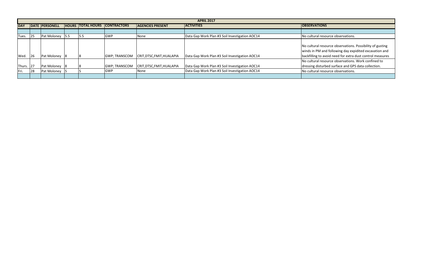|            |    |                       |     |                          |                       |                            | <b>APRIL 2017</b>                              |                     |
|------------|----|-----------------------|-----|--------------------------|-----------------------|----------------------------|------------------------------------------------|---------------------|
| <b>DAY</b> |    | <b>DATE PERSONELL</b> |     | <b>HOURS TOTAL HOURS</b> | <b>CONTRACTORS</b>    | <b>AGENCIES PRESENT</b>    | <b>ACTIVITIES</b>                              | <b>OBSERVATIONS</b> |
|            |    |                       |     |                          |                       |                            |                                                |                     |
| Tues.      | 25 | Pat Moloney           | 5.5 | 15.5                     | <b>GWP</b>            | None                       | Data Gap Work Plan #3 Soil Investigation AOC14 | No cultural reso    |
|            |    |                       |     |                          |                       |                            |                                                |                     |
|            |    |                       |     |                          |                       |                            |                                                | No cultural reso    |
|            |    |                       |     |                          |                       |                            |                                                | winds in PM and     |
| Wed.       | 26 | Pat Moloney           |     |                          | <b>GWP</b> ; TRANSCOM | CRIT, DTSC, FMIT, HUALAPIA | Data Gap Work Plan #3 Soil Investigation AOC14 | backfilling to av   |
|            |    |                       |     |                          |                       |                            |                                                | No cultural reso    |
| Thurs. 27  |    | Pat Moloney           |     |                          | <b>GWP; TRANSCOM</b>  | CRIT, DTSC, FMIT, HUALAPIA | Data Gap Work Plan #3 Soil Investigation AOC14 | dressing disturb    |
| Fri.       | 28 | Pat Moloney           |     |                          | <b>GWP</b>            | <b>N</b> one               | Data Gap Work Plan #3 Soil Investigation AOC14 | No cultural reso    |
|            |    |                       |     |                          |                       |                            |                                                |                     |

ultural resource observations.

ultural resource observations. Possibility of gusting ds in PM and following day expidited excavation and filling to avoid need for extra dust control measures

iultural resource observations. Work confined to

sing disturbed surface and GPS data collection.

ultural resource observations.